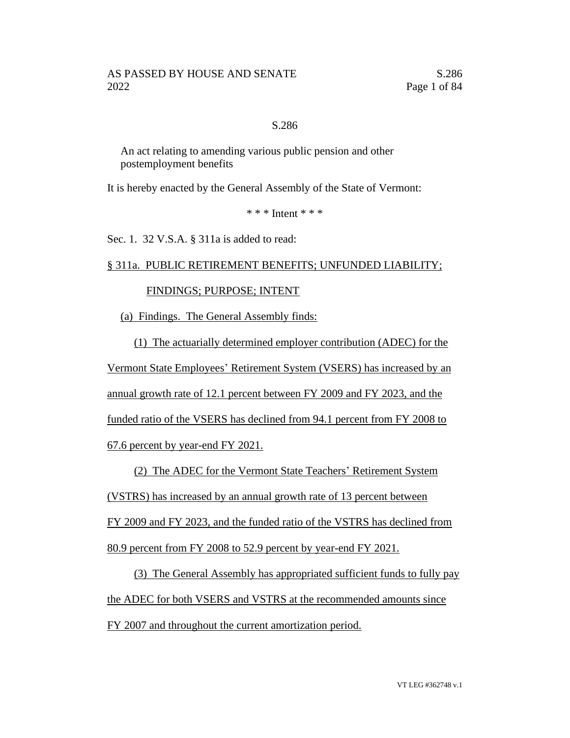## S.286

An act relating to amending various public pension and other postemployment benefits

It is hereby enacted by the General Assembly of the State of Vermont:

\* \* \* Intent \* \* \*

Sec. 1. 32 V.S.A. § 311a is added to read:

#### § 311a. PUBLIC RETIREMENT BENEFITS; UNFUNDED LIABILITY;

# FINDINGS; PURPOSE; INTENT

(a) Findings. The General Assembly finds:

(1) The actuarially determined employer contribution (ADEC) for the Vermont State Employees' Retirement System (VSERS) has increased by an annual growth rate of 12.1 percent between FY 2009 and FY 2023, and the funded ratio of the VSERS has declined from 94.1 percent from FY 2008 to

67.6 percent by year-end FY 2021.

(2) The ADEC for the Vermont State Teachers' Retirement System

(VSTRS) has increased by an annual growth rate of 13 percent between

FY 2009 and FY 2023, and the funded ratio of the VSTRS has declined from

80.9 percent from FY 2008 to 52.9 percent by year-end FY 2021.

(3) The General Assembly has appropriated sufficient funds to fully pay the ADEC for both VSERS and VSTRS at the recommended amounts since FY 2007 and throughout the current amortization period.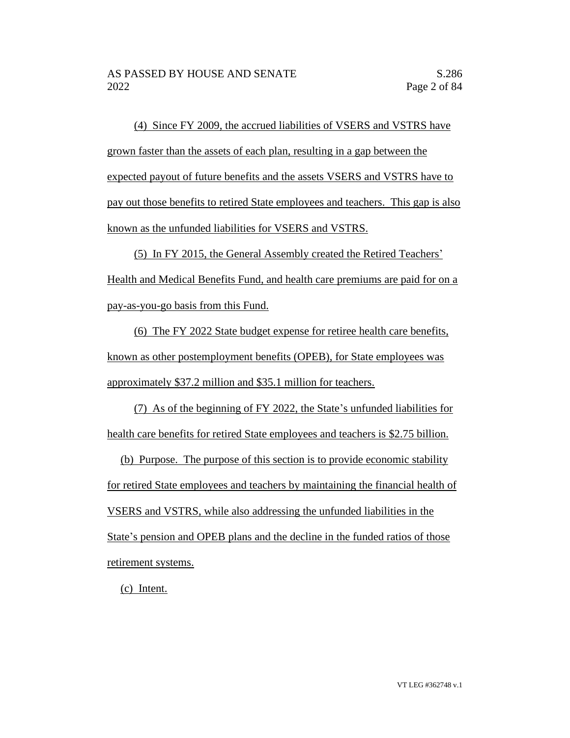(4) Since FY 2009, the accrued liabilities of VSERS and VSTRS have grown faster than the assets of each plan, resulting in a gap between the expected payout of future benefits and the assets VSERS and VSTRS have to pay out those benefits to retired State employees and teachers. This gap is also known as the unfunded liabilities for VSERS and VSTRS.

(5) In FY 2015, the General Assembly created the Retired Teachers' Health and Medical Benefits Fund, and health care premiums are paid for on a pay-as-you-go basis from this Fund.

(6) The FY 2022 State budget expense for retiree health care benefits, known as other postemployment benefits (OPEB), for State employees was approximately \$37.2 million and \$35.1 million for teachers.

(7) As of the beginning of FY 2022, the State's unfunded liabilities for health care benefits for retired State employees and teachers is \$2.75 billion.

(b) Purpose. The purpose of this section is to provide economic stability for retired State employees and teachers by maintaining the financial health of VSERS and VSTRS, while also addressing the unfunded liabilities in the State's pension and OPEB plans and the decline in the funded ratios of those retirement systems.

(c) Intent.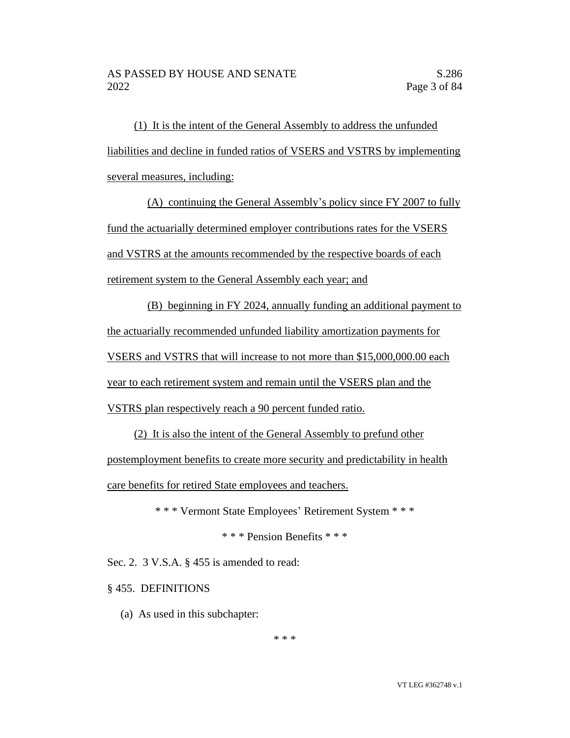(1) It is the intent of the General Assembly to address the unfunded liabilities and decline in funded ratios of VSERS and VSTRS by implementing several measures, including:

(A) continuing the General Assembly's policy since FY 2007 to fully fund the actuarially determined employer contributions rates for the VSERS and VSTRS at the amounts recommended by the respective boards of each retirement system to the General Assembly each year; and

(B) beginning in FY 2024, annually funding an additional payment to the actuarially recommended unfunded liability amortization payments for VSERS and VSTRS that will increase to not more than \$15,000,000.00 each year to each retirement system and remain until the VSERS plan and the VSTRS plan respectively reach a 90 percent funded ratio.

(2) It is also the intent of the General Assembly to prefund other postemployment benefits to create more security and predictability in health care benefits for retired State employees and teachers.

\* \* \* Vermont State Employees' Retirement System \* \* \*

\* \* \* Pension Benefits \* \* \*

Sec. 2. 3 V.S.A. § 455 is amended to read:

§ 455. DEFINITIONS

(a) As used in this subchapter:

\* \* \*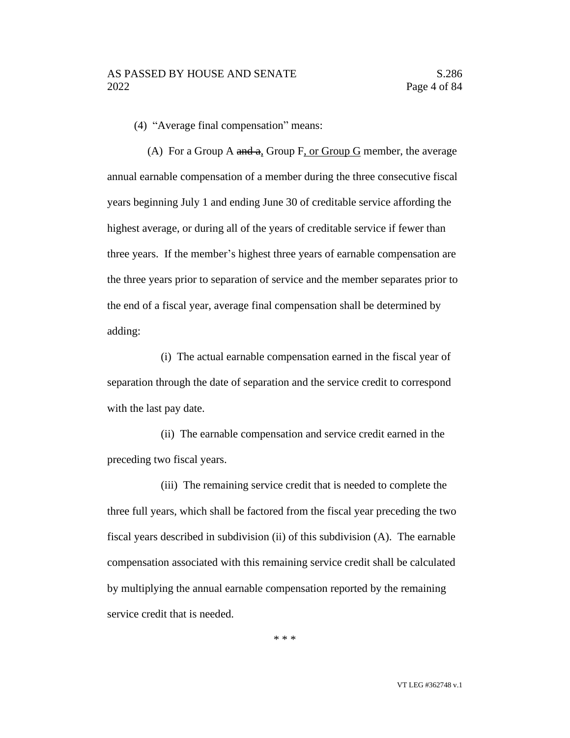(4) "Average final compensation" means:

(A) For a Group A and a, Group F, or Group G member, the average annual earnable compensation of a member during the three consecutive fiscal years beginning July 1 and ending June 30 of creditable service affording the highest average, or during all of the years of creditable service if fewer than three years. If the member's highest three years of earnable compensation are the three years prior to separation of service and the member separates prior to the end of a fiscal year, average final compensation shall be determined by adding:

(i) The actual earnable compensation earned in the fiscal year of separation through the date of separation and the service credit to correspond with the last pay date.

(ii) The earnable compensation and service credit earned in the preceding two fiscal years.

(iii) The remaining service credit that is needed to complete the three full years, which shall be factored from the fiscal year preceding the two fiscal years described in subdivision (ii) of this subdivision (A). The earnable compensation associated with this remaining service credit shall be calculated by multiplying the annual earnable compensation reported by the remaining service credit that is needed.

\* \* \*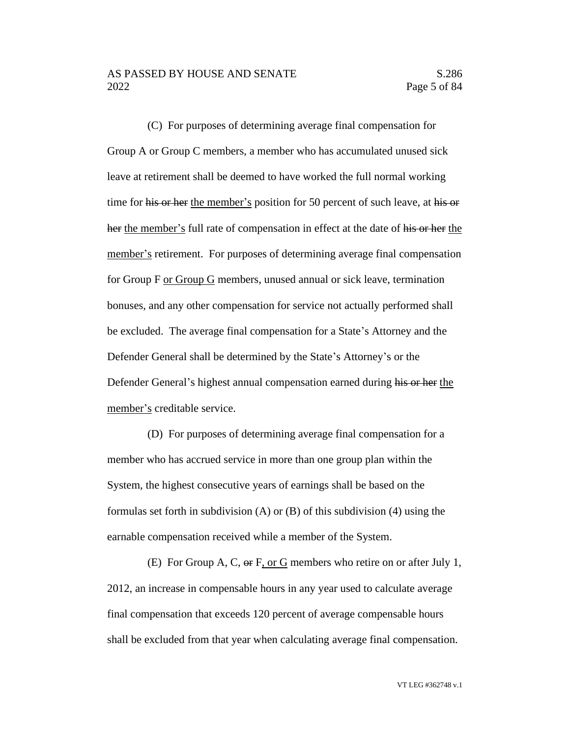(C) For purposes of determining average final compensation for Group A or Group C members, a member who has accumulated unused sick leave at retirement shall be deemed to have worked the full normal working time for his or her the member's position for 50 percent of such leave, at his or her the member's full rate of compensation in effect at the date of his or her the member's retirement. For purposes of determining average final compensation for Group F or Group G members, unused annual or sick leave, termination bonuses, and any other compensation for service not actually performed shall be excluded. The average final compensation for a State's Attorney and the Defender General shall be determined by the State's Attorney's or the Defender General's highest annual compensation earned during his or her the member's creditable service.

(D) For purposes of determining average final compensation for a member who has accrued service in more than one group plan within the System, the highest consecutive years of earnings shall be based on the formulas set forth in subdivision  $(A)$  or  $(B)$  of this subdivision  $(4)$  using the earnable compensation received while a member of the System.

(E) For Group A, C, or F, or G members who retire on or after July 1, 2012, an increase in compensable hours in any year used to calculate average final compensation that exceeds 120 percent of average compensable hours shall be excluded from that year when calculating average final compensation.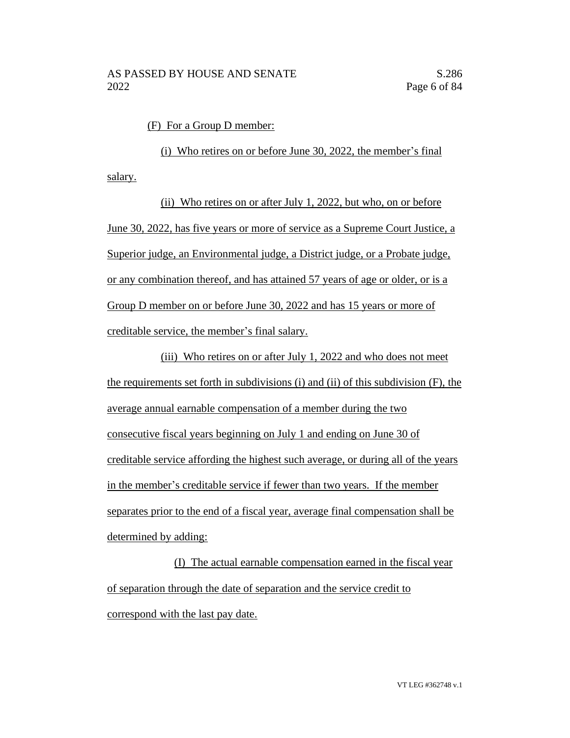(F) For a Group D member:

(i) Who retires on or before June 30, 2022, the member's final salary.

(ii) Who retires on or after July 1, 2022, but who, on or before June 30, 2022, has five years or more of service as a Supreme Court Justice, a Superior judge, an Environmental judge, a District judge, or a Probate judge, or any combination thereof, and has attained 57 years of age or older, or is a Group D member on or before June 30, 2022 and has 15 years or more of creditable service, the member's final salary.

(iii) Who retires on or after July 1, 2022 and who does not meet the requirements set forth in subdivisions (i) and (ii) of this subdivision (F), the average annual earnable compensation of a member during the two consecutive fiscal years beginning on July 1 and ending on June 30 of creditable service affording the highest such average, or during all of the years in the member's creditable service if fewer than two years. If the member separates prior to the end of a fiscal year, average final compensation shall be determined by adding:

(I) The actual earnable compensation earned in the fiscal year of separation through the date of separation and the service credit to correspond with the last pay date.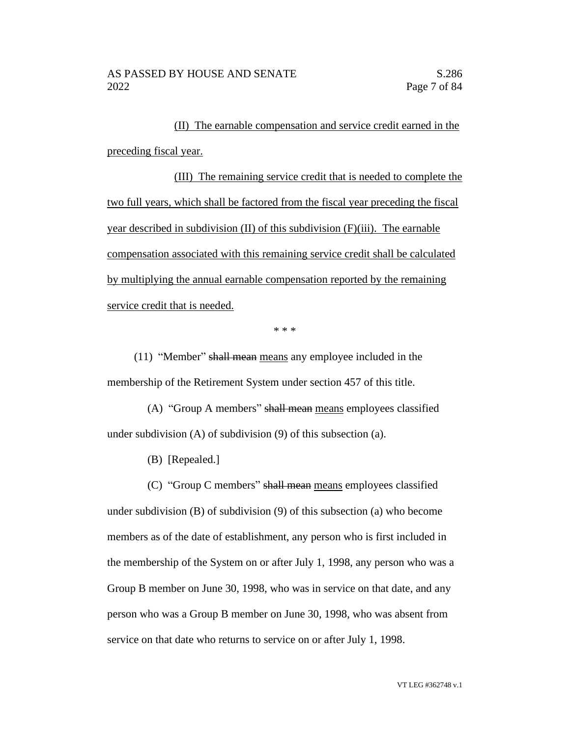(II) The earnable compensation and service credit earned in the preceding fiscal year.

(III) The remaining service credit that is needed to complete the two full years, which shall be factored from the fiscal year preceding the fiscal year described in subdivision (II) of this subdivision (F)(iii). The earnable compensation associated with this remaining service credit shall be calculated by multiplying the annual earnable compensation reported by the remaining service credit that is needed.

\* \* \*

(11) "Member" shall mean means any employee included in the membership of the Retirement System under section 457 of this title.

(A) "Group A members" shall mean means employees classified under subdivision (A) of subdivision (9) of this subsection (a).

(B) [Repealed.]

(C) "Group C members" shall mean means employees classified under subdivision (B) of subdivision (9) of this subsection (a) who become members as of the date of establishment, any person who is first included in the membership of the System on or after July 1, 1998, any person who was a Group B member on June 30, 1998, who was in service on that date, and any person who was a Group B member on June 30, 1998, who was absent from service on that date who returns to service on or after July 1, 1998.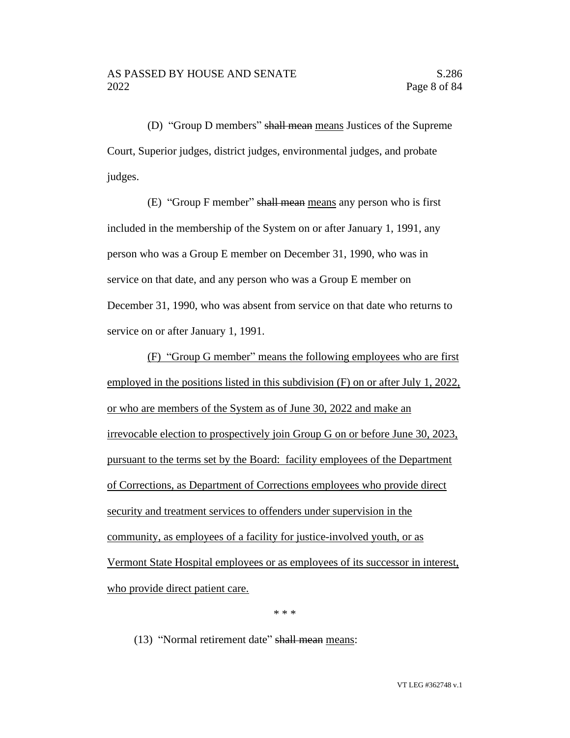(D) "Group D members" shall mean means Justices of the Supreme Court, Superior judges, district judges, environmental judges, and probate judges.

(E) "Group F member" shall mean means any person who is first included in the membership of the System on or after January 1, 1991, any person who was a Group E member on December 31, 1990, who was in service on that date, and any person who was a Group E member on December 31, 1990, who was absent from service on that date who returns to service on or after January 1, 1991.

(F) "Group G member" means the following employees who are first employed in the positions listed in this subdivision (F) on or after July 1, 2022, or who are members of the System as of June 30, 2022 and make an irrevocable election to prospectively join Group G on or before June 30, 2023, pursuant to the terms set by the Board: facility employees of the Department of Corrections, as Department of Corrections employees who provide direct security and treatment services to offenders under supervision in the community, as employees of a facility for justice-involved youth, or as Vermont State Hospital employees or as employees of its successor in interest, who provide direct patient care.

\* \* \*

(13) "Normal retirement date" shall mean means: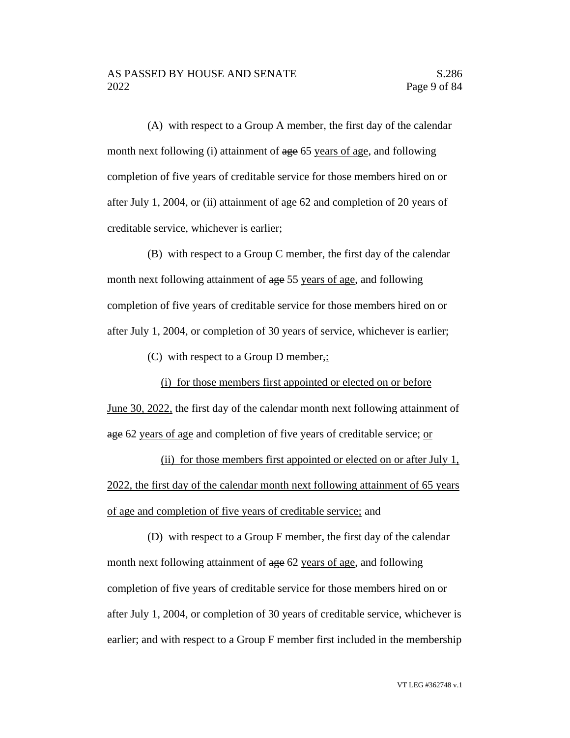(A) with respect to a Group A member, the first day of the calendar month next following (i) attainment of age 65 years of age, and following completion of five years of creditable service for those members hired on or after July 1, 2004, or (ii) attainment of age 62 and completion of 20 years of creditable service, whichever is earlier;

(B) with respect to a Group C member, the first day of the calendar month next following attainment of age 55 years of age, and following completion of five years of creditable service for those members hired on or after July 1, 2004, or completion of 30 years of service, whichever is earlier;

(C) with respect to a Group D member,:

(i) for those members first appointed or elected on or before June 30, 2022, the first day of the calendar month next following attainment of age 62 years of age and completion of five years of creditable service; or

(ii) for those members first appointed or elected on or after July 1, 2022, the first day of the calendar month next following attainment of 65 years of age and completion of five years of creditable service; and

(D) with respect to a Group F member, the first day of the calendar month next following attainment of age 62 years of age, and following completion of five years of creditable service for those members hired on or after July 1, 2004, or completion of 30 years of creditable service, whichever is earlier; and with respect to a Group F member first included in the membership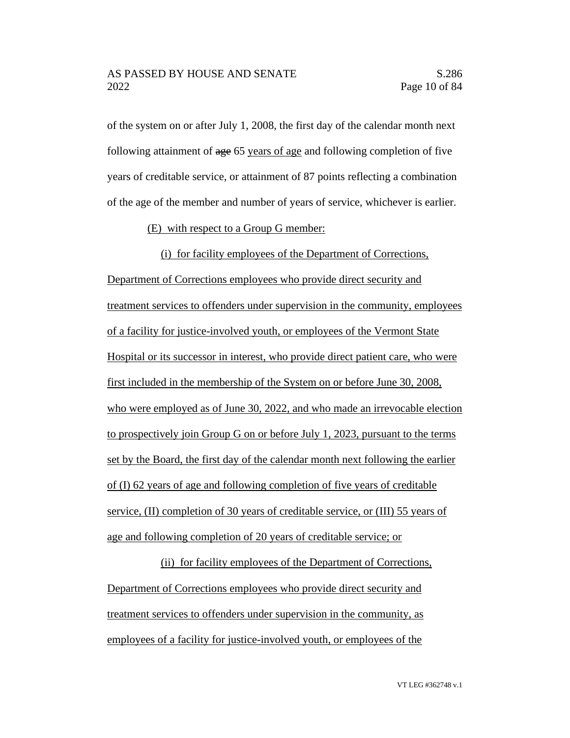of the system on or after July 1, 2008, the first day of the calendar month next following attainment of age 65 years of age and following completion of five years of creditable service, or attainment of 87 points reflecting a combination of the age of the member and number of years of service, whichever is earlier.

#### (E) with respect to a Group G member:

(i) for facility employees of the Department of Corrections, Department of Corrections employees who provide direct security and treatment services to offenders under supervision in the community, employees of a facility for justice-involved youth, or employees of the Vermont State Hospital or its successor in interest, who provide direct patient care, who were first included in the membership of the System on or before June 30, 2008, who were employed as of June 30, 2022, and who made an irrevocable election to prospectively join Group G on or before July 1, 2023, pursuant to the terms set by the Board, the first day of the calendar month next following the earlier of (I) 62 years of age and following completion of five years of creditable service, (II) completion of 30 years of creditable service, or (III) 55 years of age and following completion of 20 years of creditable service; or

(ii) for facility employees of the Department of Corrections, Department of Corrections employees who provide direct security and treatment services to offenders under supervision in the community, as employees of a facility for justice-involved youth, or employees of the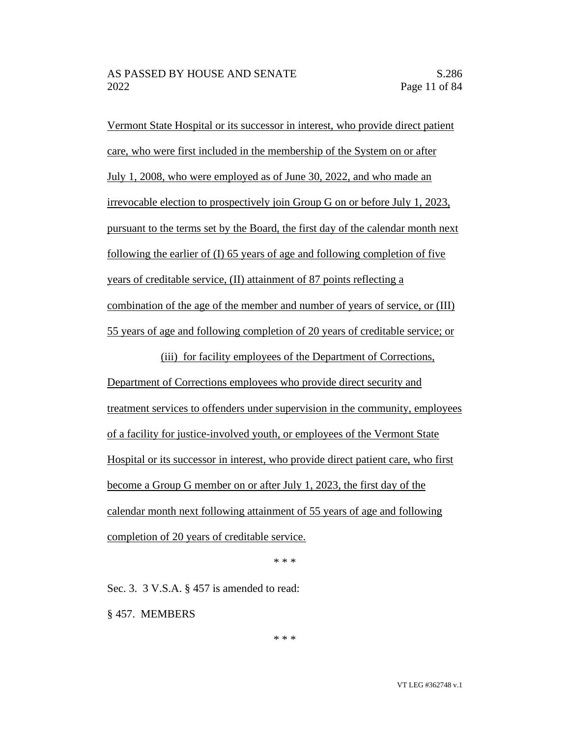Vermont State Hospital or its successor in interest, who provide direct patient care, who were first included in the membership of the System on or after July 1, 2008, who were employed as of June 30, 2022, and who made an irrevocable election to prospectively join Group G on or before July 1, 2023, pursuant to the terms set by the Board, the first day of the calendar month next following the earlier of (I) 65 years of age and following completion of five years of creditable service, (II) attainment of 87 points reflecting a combination of the age of the member and number of years of service, or (III) 55 years of age and following completion of 20 years of creditable service; or

(iii) for facility employees of the Department of Corrections, Department of Corrections employees who provide direct security and treatment services to offenders under supervision in the community, employees of a facility for justice-involved youth, or employees of the Vermont State Hospital or its successor in interest, who provide direct patient care, who first become a Group G member on or after July 1, 2023, the first day of the calendar month next following attainment of 55 years of age and following completion of 20 years of creditable service.

\* \* \*

Sec. 3. 3 V.S.A. § 457 is amended to read:

§ 457. MEMBERS

\* \* \*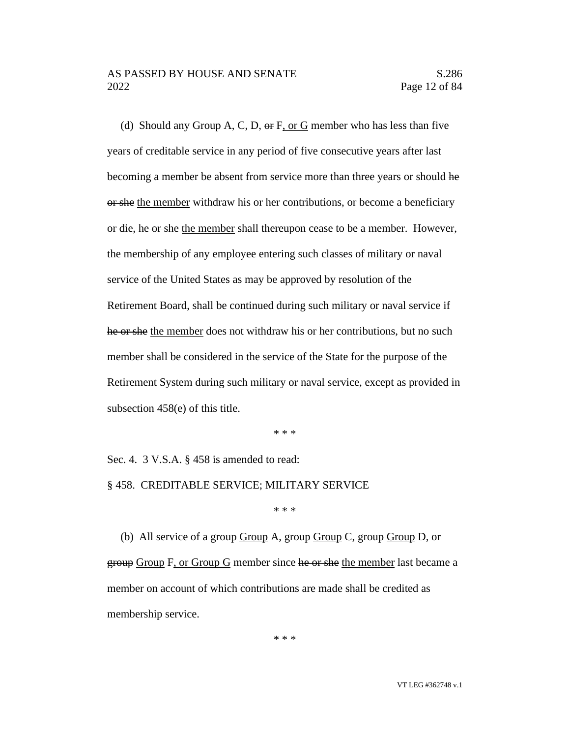(d) Should any Group A, C, D,  $\Theta$  F, or G member who has less than five years of creditable service in any period of five consecutive years after last becoming a member be absent from service more than three years or should he or she the member withdraw his or her contributions, or become a beneficiary or die, he or she the member shall thereupon cease to be a member. However, the membership of any employee entering such classes of military or naval service of the United States as may be approved by resolution of the Retirement Board, shall be continued during such military or naval service if he or she the member does not withdraw his or her contributions, but no such member shall be considered in the service of the State for the purpose of the Retirement System during such military or naval service, except as provided in subsection 458(e) of this title.

\* \* \*

Sec. 4. 3 V.S.A. § 458 is amended to read:

§ 458. CREDITABLE SERVICE; MILITARY SERVICE

\* \* \*

(b) All service of a group Group A, group Group C, group Group D,  $\Theta$ r group Group F, or Group G member since he or she the member last became a member on account of which contributions are made shall be credited as membership service.

\* \* \*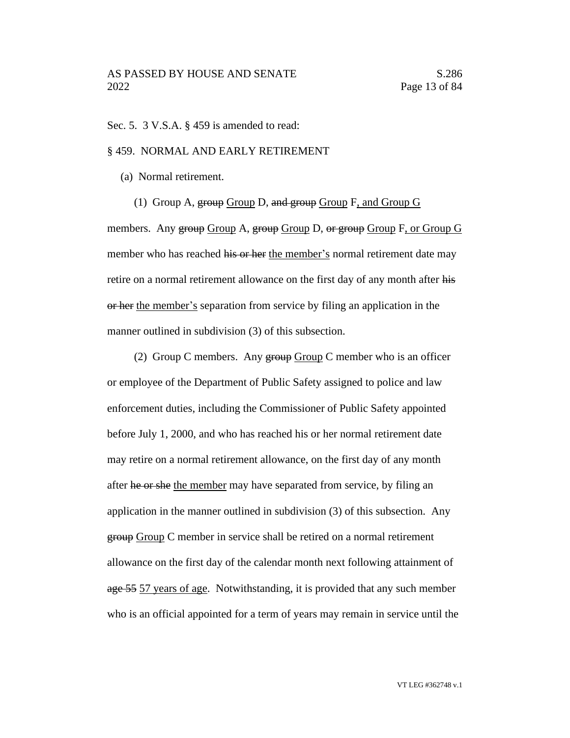#### Sec. 5. 3 V.S.A. § 459 is amended to read:

#### § 459. NORMAL AND EARLY RETIREMENT

(a) Normal retirement.

(1) Group A,  $\frac{1}{2}$  Group D, and  $\frac{1}{2}$  Group F, and Group G

members. Any group Group A, group Group D, or group Group F, or Group G member who has reached his or her the member's normal retirement date may retire on a normal retirement allowance on the first day of any month after his or her the member's separation from service by filing an application in the manner outlined in subdivision (3) of this subsection.

(2) Group C members. Any  $\frac{1}{2}$  Group C member who is an officer or employee of the Department of Public Safety assigned to police and law enforcement duties, including the Commissioner of Public Safety appointed before July 1, 2000, and who has reached his or her normal retirement date may retire on a normal retirement allowance, on the first day of any month after he or she the member may have separated from service, by filing an application in the manner outlined in subdivision (3) of this subsection. Any group Group C member in service shall be retired on a normal retirement allowance on the first day of the calendar month next following attainment of age 55 57 years of age. Notwithstanding, it is provided that any such member who is an official appointed for a term of years may remain in service until the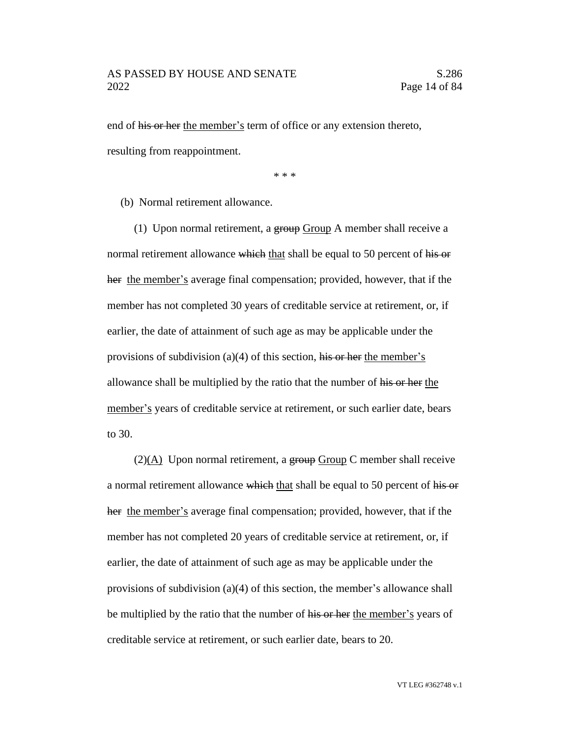end of his or her the member's term of office or any extension thereto, resulting from reappointment.

\* \* \*

(b) Normal retirement allowance.

(1) Upon normal retirement, a group Group A member shall receive a normal retirement allowance which that shall be equal to 50 percent of his or her the member's average final compensation; provided, however, that if the member has not completed 30 years of creditable service at retirement, or, if earlier, the date of attainment of such age as may be applicable under the provisions of subdivision (a)(4) of this section, his or her the member's allowance shall be multiplied by the ratio that the number of his or her the member's years of creditable service at retirement, or such earlier date, bears to 30.

 $(2)(A)$  Upon normal retirement, a group Group C member shall receive a normal retirement allowance which that shall be equal to 50 percent of his or her the member's average final compensation; provided, however, that if the member has not completed 20 years of creditable service at retirement, or, if earlier, the date of attainment of such age as may be applicable under the provisions of subdivision (a)(4) of this section, the member's allowance shall be multiplied by the ratio that the number of his or her the member's years of creditable service at retirement, or such earlier date, bears to 20.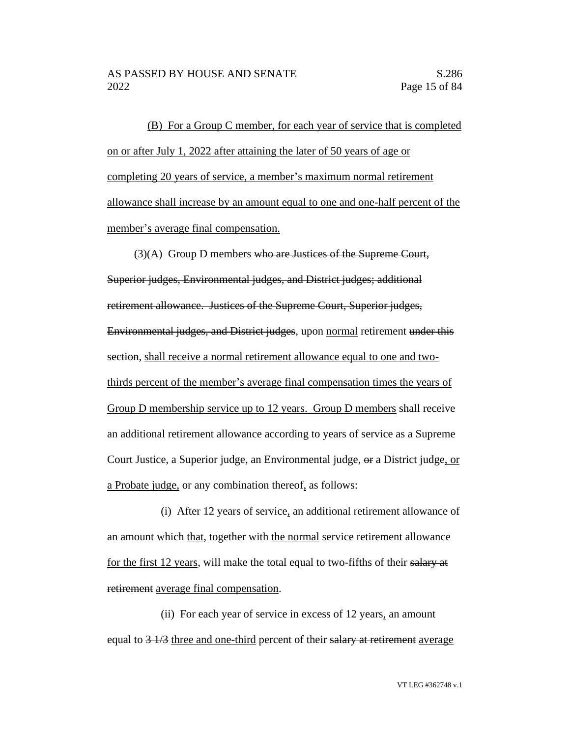(B) For a Group C member, for each year of service that is completed on or after July 1, 2022 after attaining the later of 50 years of age or completing 20 years of service, a member's maximum normal retirement allowance shall increase by an amount equal to one and one-half percent of the member's average final compensation.

(3)(A) Group D members who are Justices of the Supreme Court, Superior judges, Environmental judges, and District judges; additional retirement allowance. Justices of the Supreme Court, Superior judges, Environmental judges, and District judges, upon normal retirement under this section, shall receive a normal retirement allowance equal to one and twothirds percent of the member's average final compensation times the years of Group D membership service up to 12 years. Group D members shall receive an additional retirement allowance according to years of service as a Supreme Court Justice, a Superior judge, an Environmental judge, or a District judge, or a Probate judge, or any combination thereof, as follows:

(i) After 12 years of service, an additional retirement allowance of an amount which that, together with the normal service retirement allowance for the first 12 years, will make the total equal to two-fifths of their salary at retirement average final compensation.

(ii) For each year of service in excess of 12 years, an amount equal to  $\frac{3 \cdot 1}{3}$  three and one-third percent of their salary at retirement average

VT LEG #362748 v.1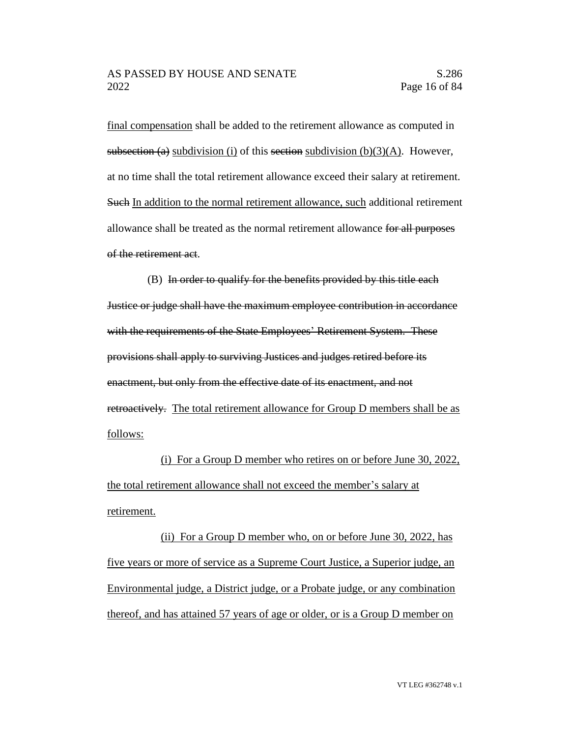final compensation shall be added to the retirement allowance as computed in subsection (a) subdivision (i) of this section subdivision (b)(3)(A). However, at no time shall the total retirement allowance exceed their salary at retirement. Such In addition to the normal retirement allowance, such additional retirement allowance shall be treated as the normal retirement allowance for all purposes of the retirement act.

(B) In order to qualify for the benefits provided by this title each Justice or judge shall have the maximum employee contribution in accordance with the requirements of the State Employees' Retirement System. These provisions shall apply to surviving Justices and judges retired before its enactment, but only from the effective date of its enactment, and not retroactively. The total retirement allowance for Group D members shall be as follows:

(i) For a Group D member who retires on or before June 30, 2022, the total retirement allowance shall not exceed the member's salary at retirement.

(ii) For a Group D member who, on or before June 30, 2022, has five years or more of service as a Supreme Court Justice, a Superior judge, an Environmental judge, a District judge, or a Probate judge, or any combination thereof, and has attained 57 years of age or older, or is a Group D member on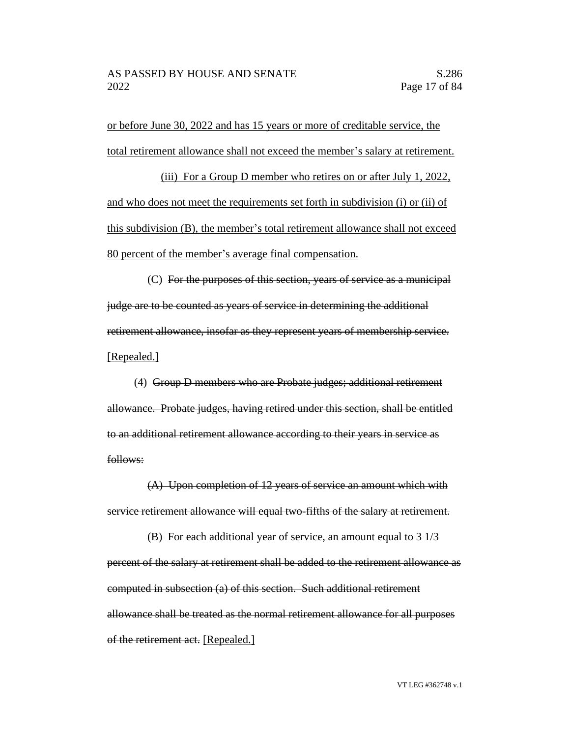or before June 30, 2022 and has 15 years or more of creditable service, the total retirement allowance shall not exceed the member's salary at retirement.

(iii) For a Group D member who retires on or after July 1, 2022, and who does not meet the requirements set forth in subdivision (i) or (ii) of this subdivision (B), the member's total retirement allowance shall not exceed 80 percent of the member's average final compensation.

(C) For the purposes of this section, years of service as a municipal judge are to be counted as years of service in determining the additional retirement allowance, insofar as they represent years of membership service. [Repealed.]

(4) Group D members who are Probate judges; additional retirement allowance. Probate judges, having retired under this section, shall be entitled to an additional retirement allowance according to their years in service as follows:

(A) Upon completion of 12 years of service an amount which with service retirement allowance will equal two-fifths of the salary at retirement.

(B) For each additional year of service, an amount equal to 3 1/3 percent of the salary at retirement shall be added to the retirement allowance as computed in subsection (a) of this section. Such additional retirement allowance shall be treated as the normal retirement allowance for all purposes of the retirement act. [Repealed.]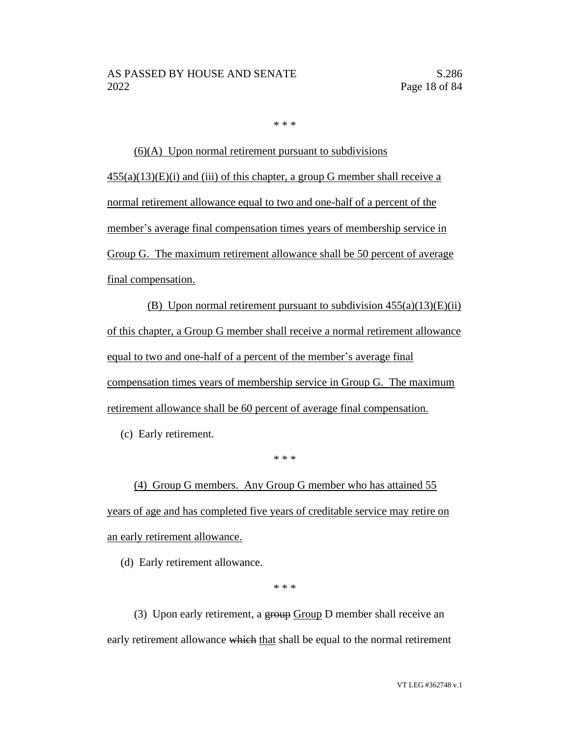\* \* \*

(6)(A) Upon normal retirement pursuant to subdivisions  $455(a)(13)(E)(i)$  and (iii) of this chapter, a group G member shall receive a normal retirement allowance equal to two and one-half of a percent of the member's average final compensation times years of membership service in Group G. The maximum retirement allowance shall be 50 percent of average final compensation.

(B) Upon normal retirement pursuant to subdivision  $455(a)(13)(E)(ii)$ of this chapter, a Group G member shall receive a normal retirement allowance equal to two and one-half of a percent of the member's average final compensation times years of membership service in Group G. The maximum retirement allowance shall be 60 percent of average final compensation.

(c) Early retirement.

\* \* \*

(4) Group G members. Any Group G member who has attained 55 years of age and has completed five years of creditable service may retire on an early retirement allowance.

(d) Early retirement allowance.

\* \* \*

(3) Upon early retirement, a group Group D member shall receive an early retirement allowance which that shall be equal to the normal retirement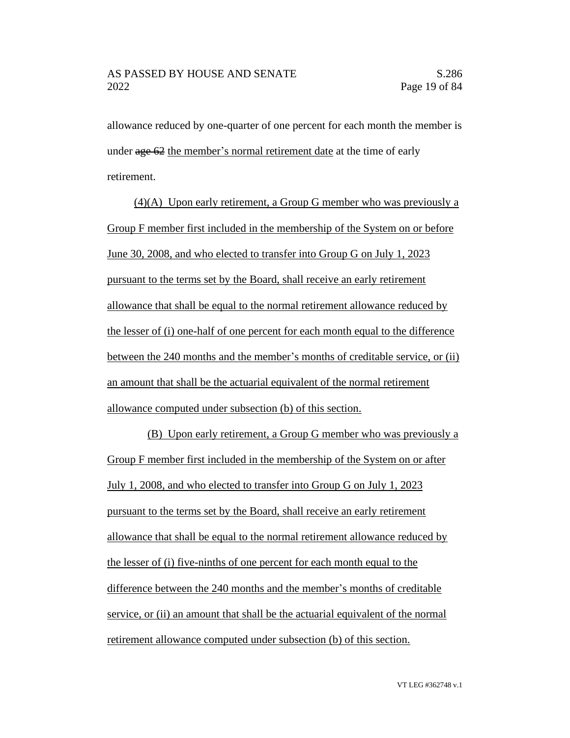allowance reduced by one-quarter of one percent for each month the member is under age 62 the member's normal retirement date at the time of early retirement.

(4)(A) Upon early retirement, a Group G member who was previously a Group F member first included in the membership of the System on or before June 30, 2008, and who elected to transfer into Group G on July 1, 2023 pursuant to the terms set by the Board, shall receive an early retirement allowance that shall be equal to the normal retirement allowance reduced by the lesser of (i) one-half of one percent for each month equal to the difference between the 240 months and the member's months of creditable service, or (ii) an amount that shall be the actuarial equivalent of the normal retirement allowance computed under subsection (b) of this section.

(B) Upon early retirement, a Group G member who was previously a Group F member first included in the membership of the System on or after July 1, 2008, and who elected to transfer into Group G on July 1, 2023 pursuant to the terms set by the Board, shall receive an early retirement allowance that shall be equal to the normal retirement allowance reduced by the lesser of (i) five-ninths of one percent for each month equal to the difference between the 240 months and the member's months of creditable service, or (ii) an amount that shall be the actuarial equivalent of the normal retirement allowance computed under subsection (b) of this section.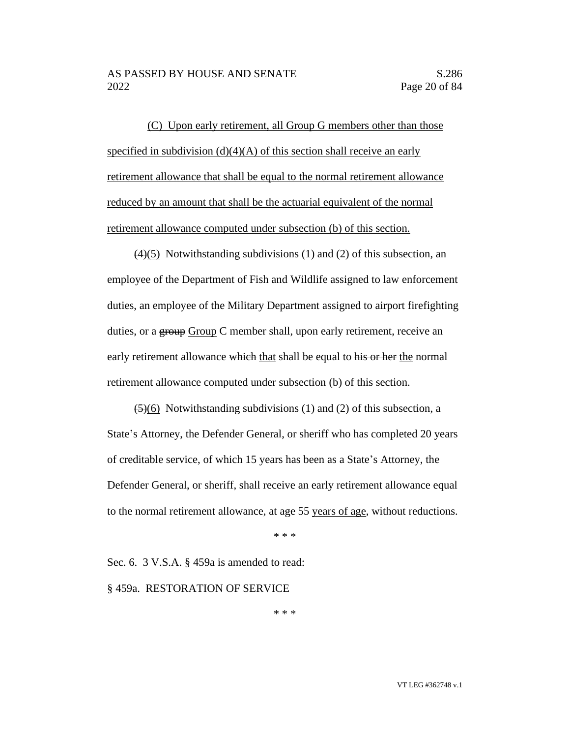(C) Upon early retirement, all Group G members other than those specified in subdivision  $(d)(4)(A)$  of this section shall receive an early retirement allowance that shall be equal to the normal retirement allowance reduced by an amount that shall be the actuarial equivalent of the normal retirement allowance computed under subsection (b) of this section.

 $(4)(5)$  Notwithstanding subdivisions (1) and (2) of this subsection, an employee of the Department of Fish and Wildlife assigned to law enforcement duties, an employee of the Military Department assigned to airport firefighting duties, or a group Group C member shall, upon early retirement, receive an early retirement allowance which that shall be equal to his or her the normal retirement allowance computed under subsection (b) of this section.

 $\left(\frac{5}{6}\right)$  Notwithstanding subdivisions (1) and (2) of this subsection, a State's Attorney, the Defender General, or sheriff who has completed 20 years of creditable service, of which 15 years has been as a State's Attorney, the Defender General, or sheriff, shall receive an early retirement allowance equal to the normal retirement allowance, at age 55 years of age, without reductions.

\* \* \*

Sec. 6. 3 V.S.A. § 459a is amended to read:

§ 459a. RESTORATION OF SERVICE

\* \* \*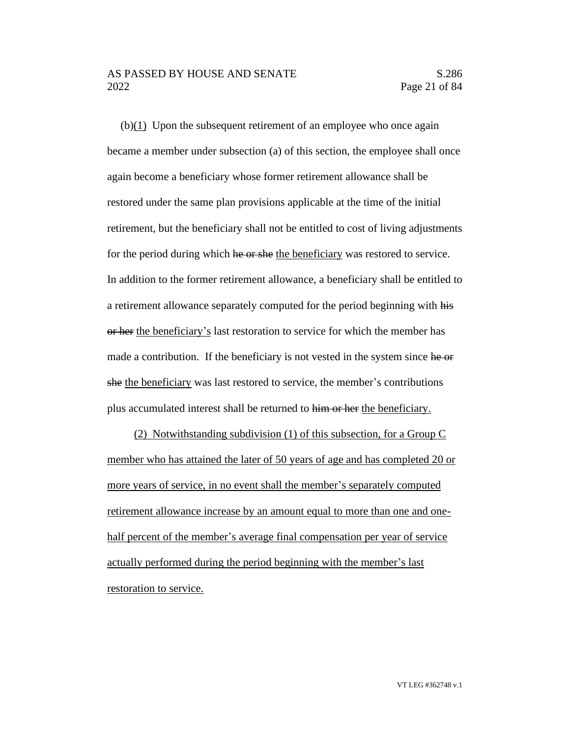### AS PASSED BY HOUSE AND SENATE S.286 2022 Page 21 of 84

(b)(1) Upon the subsequent retirement of an employee who once again became a member under subsection (a) of this section, the employee shall once again become a beneficiary whose former retirement allowance shall be restored under the same plan provisions applicable at the time of the initial retirement, but the beneficiary shall not be entitled to cost of living adjustments for the period during which he or she the beneficiary was restored to service. In addition to the former retirement allowance, a beneficiary shall be entitled to a retirement allowance separately computed for the period beginning with his or her the beneficiary's last restoration to service for which the member has made a contribution. If the beneficiary is not vested in the system since he or she the beneficiary was last restored to service, the member's contributions plus accumulated interest shall be returned to him or her the beneficiary.

(2) Notwithstanding subdivision (1) of this subsection, for a Group C member who has attained the later of 50 years of age and has completed 20 or more years of service, in no event shall the member's separately computed retirement allowance increase by an amount equal to more than one and onehalf percent of the member's average final compensation per year of service actually performed during the period beginning with the member's last restoration to service.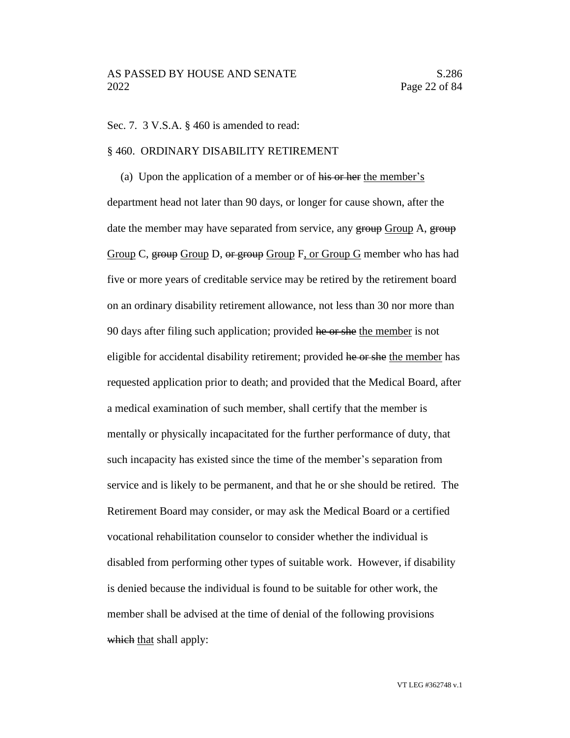#### Sec. 7. 3 V.S.A. § 460 is amended to read:

#### § 460. ORDINARY DISABILITY RETIREMENT

(a) Upon the application of a member or of his or her the member's department head not later than 90 days, or longer for cause shown, after the date the member may have separated from service, any group Group A, group Group C, group Group D, or group Group F, or Group G member who has had five or more years of creditable service may be retired by the retirement board on an ordinary disability retirement allowance, not less than 30 nor more than 90 days after filing such application; provided he or she the member is not eligible for accidental disability retirement; provided he or she the member has requested application prior to death; and provided that the Medical Board, after a medical examination of such member, shall certify that the member is mentally or physically incapacitated for the further performance of duty, that such incapacity has existed since the time of the member's separation from service and is likely to be permanent, and that he or she should be retired. The Retirement Board may consider, or may ask the Medical Board or a certified vocational rehabilitation counselor to consider whether the individual is disabled from performing other types of suitable work. However, if disability is denied because the individual is found to be suitable for other work, the member shall be advised at the time of denial of the following provisions which that shall apply: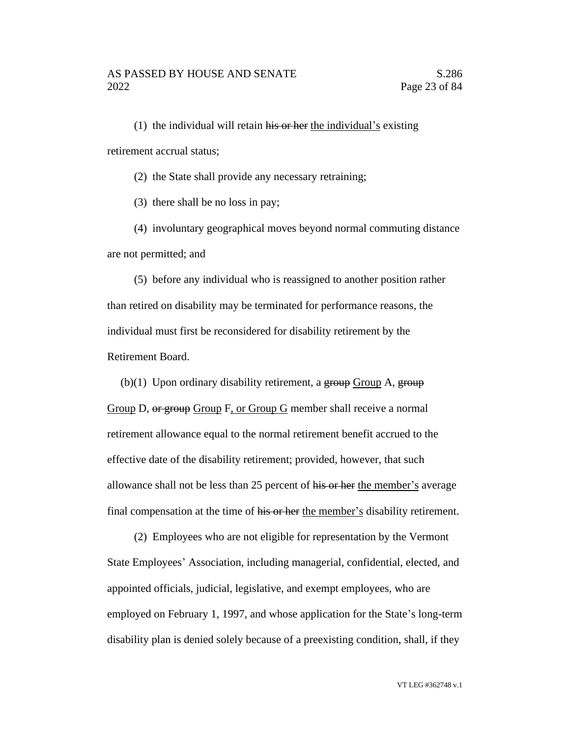(1) the individual will retain his or her the individual's existing retirement accrual status;

(2) the State shall provide any necessary retraining;

(3) there shall be no loss in pay;

(4) involuntary geographical moves beyond normal commuting distance are not permitted; and

(5) before any individual who is reassigned to another position rather than retired on disability may be terminated for performance reasons, the individual must first be reconsidered for disability retirement by the Retirement Board.

(b) $(1)$  Upon ordinary disability retirement, a group Group A, group Group D, or group Group F, or Group G member shall receive a normal retirement allowance equal to the normal retirement benefit accrued to the effective date of the disability retirement; provided, however, that such allowance shall not be less than 25 percent of his or her the member's average final compensation at the time of his or her the member's disability retirement.

(2) Employees who are not eligible for representation by the Vermont State Employees' Association, including managerial, confidential, elected, and appointed officials, judicial, legislative, and exempt employees, who are employed on February 1, 1997, and whose application for the State's long-term disability plan is denied solely because of a preexisting condition, shall, if they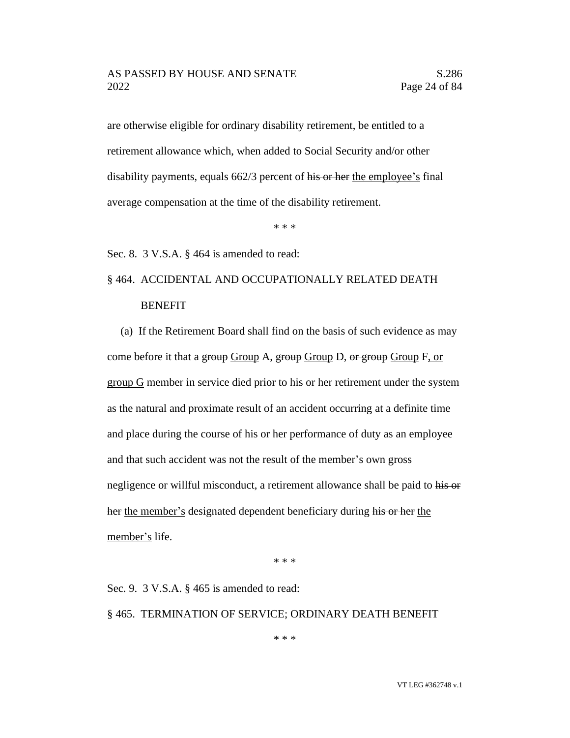are otherwise eligible for ordinary disability retirement, be entitled to a retirement allowance which, when added to Social Security and/or other disability payments, equals 662/3 percent of his or her the employee's final average compensation at the time of the disability retirement.

\* \* \*

Sec. 8. 3 V.S.A. § 464 is amended to read:

# § 464. ACCIDENTAL AND OCCUPATIONALLY RELATED DEATH **BENEFIT**

(a) If the Retirement Board shall find on the basis of such evidence as may come before it that a group Group A, group Group D, or group Group F, or group G member in service died prior to his or her retirement under the system as the natural and proximate result of an accident occurring at a definite time and place during the course of his or her performance of duty as an employee and that such accident was not the result of the member's own gross negligence or willful misconduct, a retirement allowance shall be paid to his or her the member's designated dependent beneficiary during his or her the member's life.

\* \* \*

Sec. 9. 3 V.S.A. § 465 is amended to read:

## § 465. TERMINATION OF SERVICE; ORDINARY DEATH BENEFIT

\* \* \*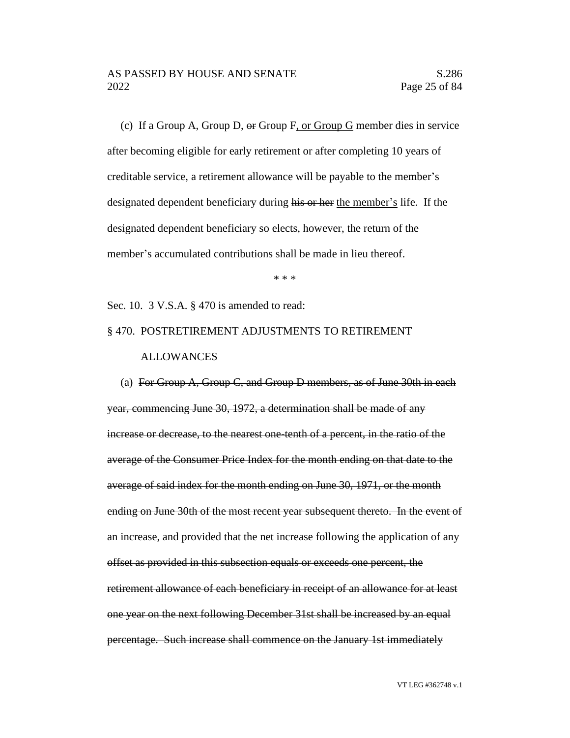(c) If a Group A, Group D, or Group F, or Group G member dies in service after becoming eligible for early retirement or after completing 10 years of creditable service, a retirement allowance will be payable to the member's designated dependent beneficiary during his or her the member's life. If the designated dependent beneficiary so elects, however, the return of the member's accumulated contributions shall be made in lieu thereof.

\* \* \*

Sec. 10. 3 V.S.A. § 470 is amended to read:

# § 470. POSTRETIREMENT ADJUSTMENTS TO RETIREMENT ALLOWANCES

(a) For Group  $A$ , Group C, and Group D members, as of June 30th in each year, commencing June 30, 1972, a determination shall be made of any increase or decrease, to the nearest one-tenth of a percent, in the ratio of the average of the Consumer Price Index for the month ending on that date to the average of said index for the month ending on June 30, 1971, or the month ending on June 30th of the most recent year subsequent thereto. In the event of an increase, and provided that the net increase following the application of any offset as provided in this subsection equals or exceeds one percent, the retirement allowance of each beneficiary in receipt of an allowance for at least one year on the next following December 31st shall be increased by an equal percentage. Such increase shall commence on the January 1st immediately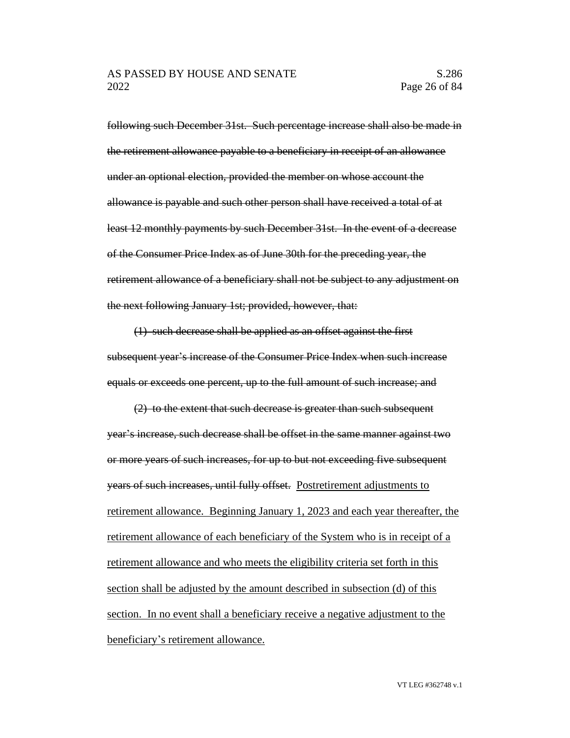following such December 31st. Such percentage increase shall also be made in the retirement allowance payable to a beneficiary in receipt of an allowance under an optional election, provided the member on whose account the allowance is payable and such other person shall have received a total of at least 12 monthly payments by such December 31st. In the event of a decrease of the Consumer Price Index as of June 30th for the preceding year, the retirement allowance of a beneficiary shall not be subject to any adjustment on the next following January 1st; provided, however, that:

(1) such decrease shall be applied as an offset against the first subsequent year's increase of the Consumer Price Index when such increase equals or exceeds one percent, up to the full amount of such increase; and

(2) to the extent that such decrease is greater than such subsequent year's increase, such decrease shall be offset in the same manner against two or more years of such increases, for up to but not exceeding five subsequent years of such increases, until fully offset. Postretirement adjustments to retirement allowance. Beginning January 1, 2023 and each year thereafter, the retirement allowance of each beneficiary of the System who is in receipt of a retirement allowance and who meets the eligibility criteria set forth in this section shall be adjusted by the amount described in subsection (d) of this section. In no event shall a beneficiary receive a negative adjustment to the beneficiary's retirement allowance.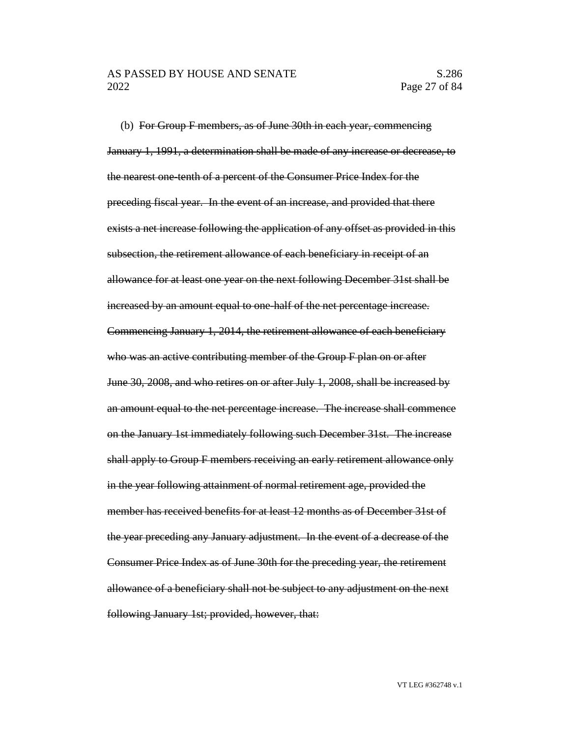(b) For Group F members, as of June 30th in each year, commencing January 1, 1991, a determination shall be made of any increase or decrease, to the nearest one-tenth of a percent of the Consumer Price Index for the preceding fiscal year. In the event of an increase, and provided that there exists a net increase following the application of any offset as provided in this subsection, the retirement allowance of each beneficiary in receipt of an allowance for at least one year on the next following December 31st shall be increased by an amount equal to one-half of the net percentage increase. Commencing January 1, 2014, the retirement allowance of each beneficiary who was an active contributing member of the Group F plan on or after June 30, 2008, and who retires on or after July 1, 2008, shall be increased by an amount equal to the net percentage increase. The increase shall commence on the January 1st immediately following such December 31st. The increase shall apply to Group F members receiving an early retirement allowance only in the year following attainment of normal retirement age, provided the member has received benefits for at least 12 months as of December 31st of the year preceding any January adjustment. In the event of a decrease of the Consumer Price Index as of June 30th for the preceding year, the retirement allowance of a beneficiary shall not be subject to any adjustment on the next following January 1st; provided, however, that: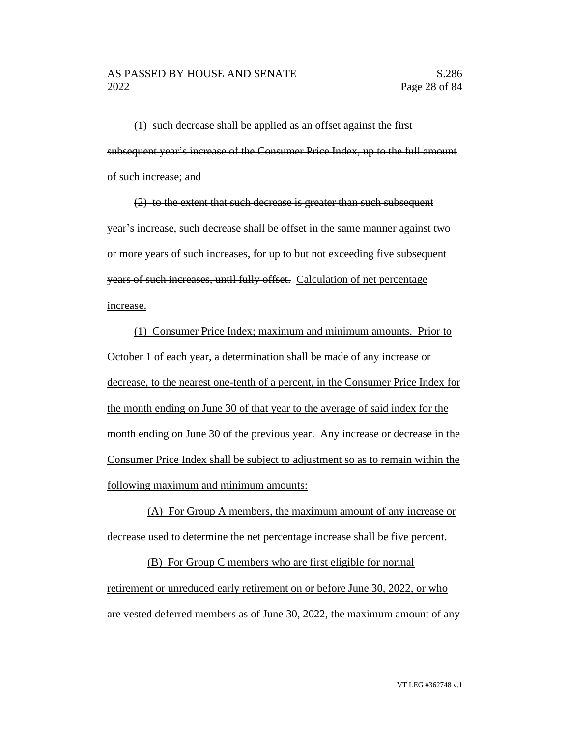(1) such decrease shall be applied as an offset against the first subsequent year's increase of the Consumer Price Index, up to the full amount of such increase; and

(2) to the extent that such decrease is greater than such subsequent year's increase, such decrease shall be offset in the same manner against two or more years of such increases, for up to but not exceeding five subsequent years of such increases, until fully offset. Calculation of net percentage increase.

(1) Consumer Price Index; maximum and minimum amounts. Prior to October 1 of each year, a determination shall be made of any increase or decrease, to the nearest one-tenth of a percent, in the Consumer Price Index for the month ending on June 30 of that year to the average of said index for the month ending on June 30 of the previous year. Any increase or decrease in the Consumer Price Index shall be subject to adjustment so as to remain within the following maximum and minimum amounts:

(A) For Group A members, the maximum amount of any increase or decrease used to determine the net percentage increase shall be five percent.

(B) For Group C members who are first eligible for normal retirement or unreduced early retirement on or before June 30, 2022, or who are vested deferred members as of June 30, 2022, the maximum amount of any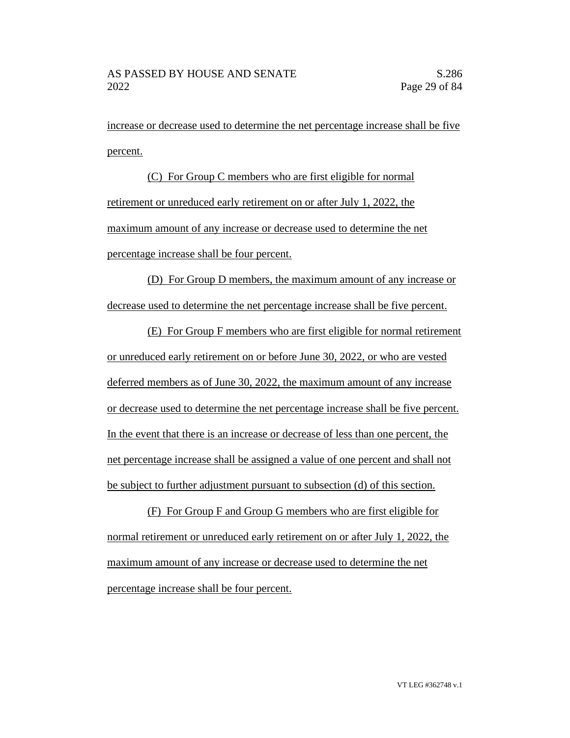increase or decrease used to determine the net percentage increase shall be five percent.

(C) For Group C members who are first eligible for normal retirement or unreduced early retirement on or after July 1, 2022, the maximum amount of any increase or decrease used to determine the net percentage increase shall be four percent.

(D) For Group D members, the maximum amount of any increase or decrease used to determine the net percentage increase shall be five percent.

(E) For Group F members who are first eligible for normal retirement or unreduced early retirement on or before June 30, 2022, or who are vested deferred members as of June 30, 2022, the maximum amount of any increase or decrease used to determine the net percentage increase shall be five percent. In the event that there is an increase or decrease of less than one percent, the net percentage increase shall be assigned a value of one percent and shall not be subject to further adjustment pursuant to subsection (d) of this section.

(F) For Group F and Group G members who are first eligible for normal retirement or unreduced early retirement on or after July 1, 2022, the maximum amount of any increase or decrease used to determine the net percentage increase shall be four percent.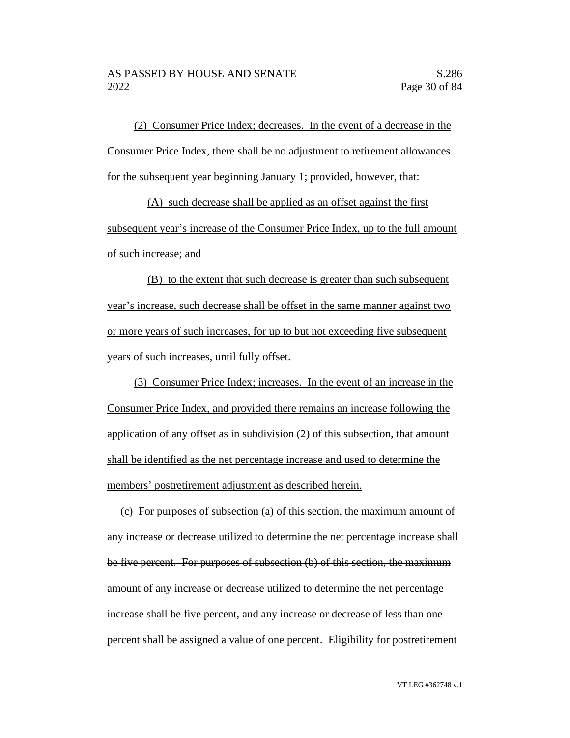(2) Consumer Price Index; decreases. In the event of a decrease in the Consumer Price Index, there shall be no adjustment to retirement allowances for the subsequent year beginning January 1; provided, however, that:

(A) such decrease shall be applied as an offset against the first subsequent year's increase of the Consumer Price Index, up to the full amount of such increase; and

(B) to the extent that such decrease is greater than such subsequent year's increase, such decrease shall be offset in the same manner against two or more years of such increases, for up to but not exceeding five subsequent years of such increases, until fully offset.

(3) Consumer Price Index; increases. In the event of an increase in the Consumer Price Index, and provided there remains an increase following the application of any offset as in subdivision (2) of this subsection, that amount shall be identified as the net percentage increase and used to determine the members' postretirement adjustment as described herein.

(c) For purposes of subsection (a) of this section, the maximum amount of any increase or decrease utilized to determine the net percentage increase shall be five percent. For purposes of subsection (b) of this section, the maximum amount of any increase or decrease utilized to determine the net percentage increase shall be five percent, and any increase or decrease of less than one percent shall be assigned a value of one percent. Eligibility for postretirement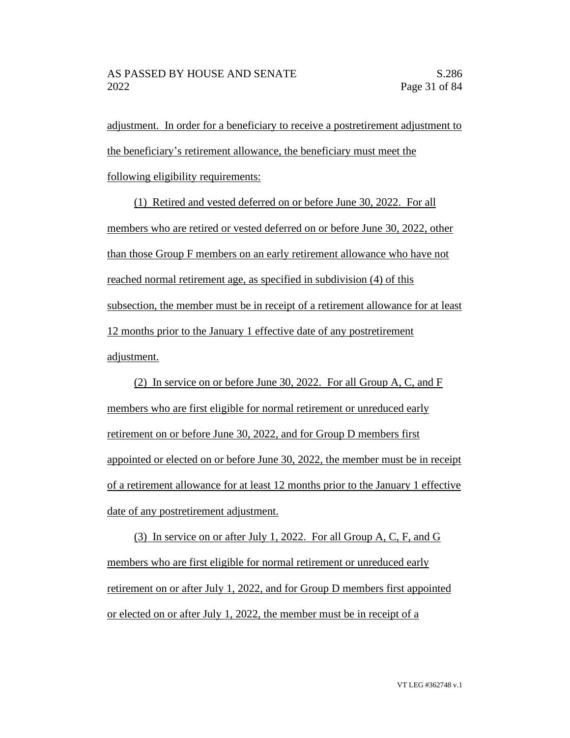adjustment. In order for a beneficiary to receive a postretirement adjustment to the beneficiary's retirement allowance, the beneficiary must meet the following eligibility requirements:

(1) Retired and vested deferred on or before June 30, 2022. For all members who are retired or vested deferred on or before June 30, 2022, other than those Group F members on an early retirement allowance who have not reached normal retirement age, as specified in subdivision (4) of this subsection, the member must be in receipt of a retirement allowance for at least 12 months prior to the January 1 effective date of any postretirement adjustment.

(2) In service on or before June 30, 2022. For all Group A, C, and F members who are first eligible for normal retirement or unreduced early retirement on or before June 30, 2022, and for Group D members first appointed or elected on or before June 30, 2022, the member must be in receipt of a retirement allowance for at least 12 months prior to the January 1 effective date of any postretirement adjustment.

(3) In service on or after July 1, 2022. For all Group A, C, F, and G members who are first eligible for normal retirement or unreduced early retirement on or after July 1, 2022, and for Group D members first appointed or elected on or after July 1, 2022, the member must be in receipt of a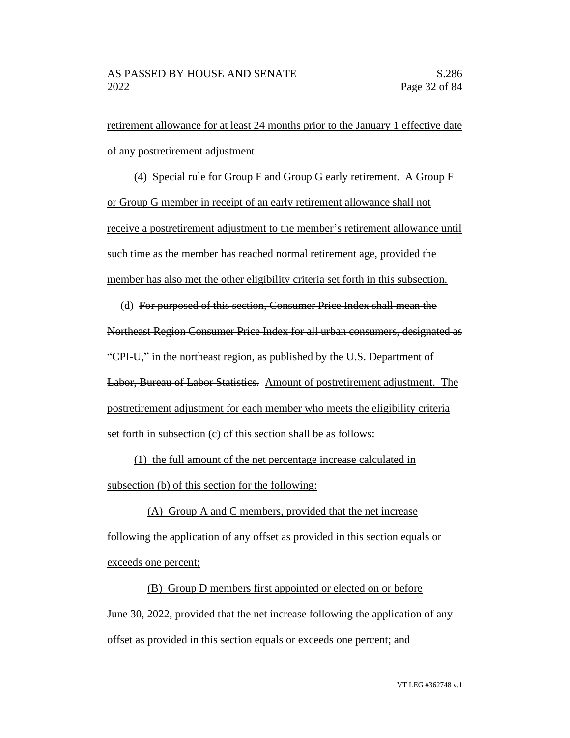retirement allowance for at least 24 months prior to the January 1 effective date of any postretirement adjustment.

(4) Special rule for Group F and Group G early retirement. A Group F or Group G member in receipt of an early retirement allowance shall not receive a postretirement adjustment to the member's retirement allowance until such time as the member has reached normal retirement age, provided the member has also met the other eligibility criteria set forth in this subsection.

(d) For purposed of this section, Consumer Price Index shall mean the Northeast Region Consumer Price Index for all urban consumers, designated as "CPI-U," in the northeast region, as published by the U.S. Department of Labor, Bureau of Labor Statistics. Amount of postretirement adjustment. The postretirement adjustment for each member who meets the eligibility criteria set forth in subsection (c) of this section shall be as follows:

(1) the full amount of the net percentage increase calculated in subsection (b) of this section for the following:

(A) Group A and C members, provided that the net increase following the application of any offset as provided in this section equals or exceeds one percent;

(B) Group D members first appointed or elected on or before June 30, 2022, provided that the net increase following the application of any offset as provided in this section equals or exceeds one percent; and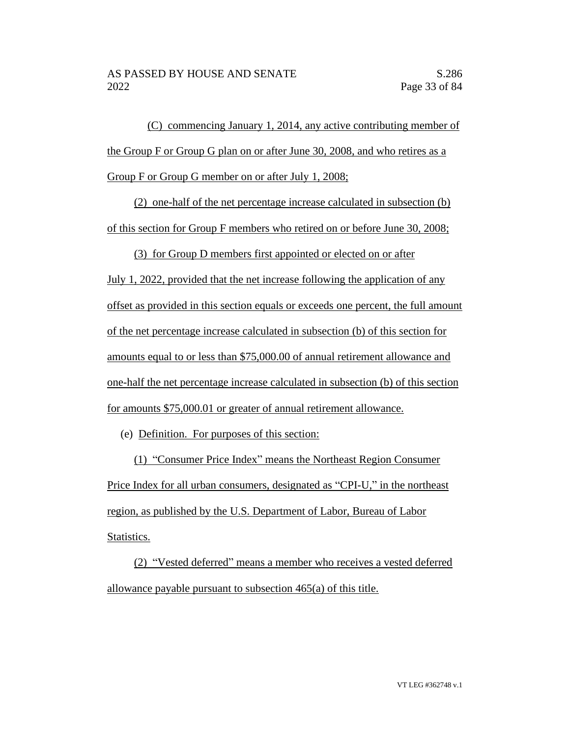(C) commencing January 1, 2014, any active contributing member of the Group F or Group G plan on or after June 30, 2008, and who retires as a Group F or Group G member on or after July 1, 2008;

(2) one-half of the net percentage increase calculated in subsection (b) of this section for Group F members who retired on or before June 30, 2008;

(3) for Group D members first appointed or elected on or after July 1, 2022, provided that the net increase following the application of any offset as provided in this section equals or exceeds one percent, the full amount of the net percentage increase calculated in subsection (b) of this section for amounts equal to or less than \$75,000.00 of annual retirement allowance and one-half the net percentage increase calculated in subsection (b) of this section for amounts \$75,000.01 or greater of annual retirement allowance.

(e) Definition. For purposes of this section:

(1) "Consumer Price Index" means the Northeast Region Consumer Price Index for all urban consumers, designated as "CPI-U," in the northeast region, as published by the U.S. Department of Labor, Bureau of Labor Statistics.

(2) "Vested deferred" means a member who receives a vested deferred allowance payable pursuant to subsection 465(a) of this title.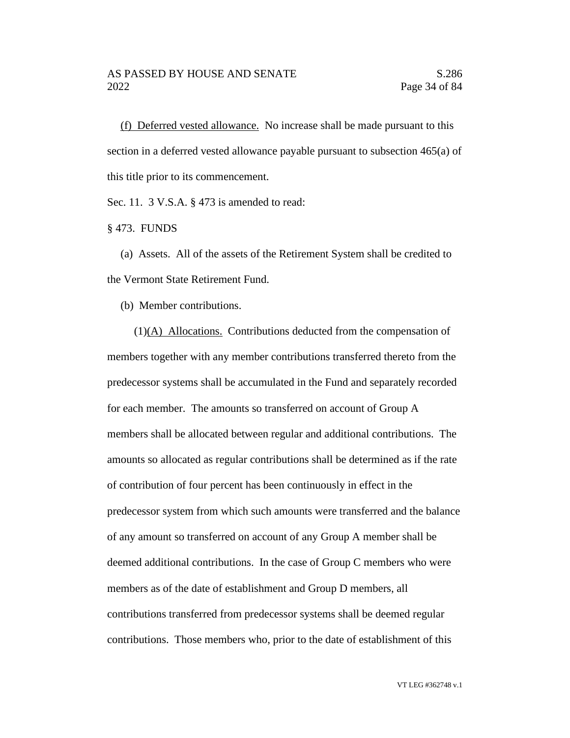(f) Deferred vested allowance. No increase shall be made pursuant to this section in a deferred vested allowance payable pursuant to subsection 465(a) of this title prior to its commencement.

Sec. 11. 3 V.S.A. § 473 is amended to read:

§ 473. FUNDS

(a) Assets. All of the assets of the Retirement System shall be credited to the Vermont State Retirement Fund.

(b) Member contributions.

(1)(A) Allocations. Contributions deducted from the compensation of members together with any member contributions transferred thereto from the predecessor systems shall be accumulated in the Fund and separately recorded for each member. The amounts so transferred on account of Group A members shall be allocated between regular and additional contributions. The amounts so allocated as regular contributions shall be determined as if the rate of contribution of four percent has been continuously in effect in the predecessor system from which such amounts were transferred and the balance of any amount so transferred on account of any Group A member shall be deemed additional contributions. In the case of Group C members who were members as of the date of establishment and Group D members, all contributions transferred from predecessor systems shall be deemed regular contributions. Those members who, prior to the date of establishment of this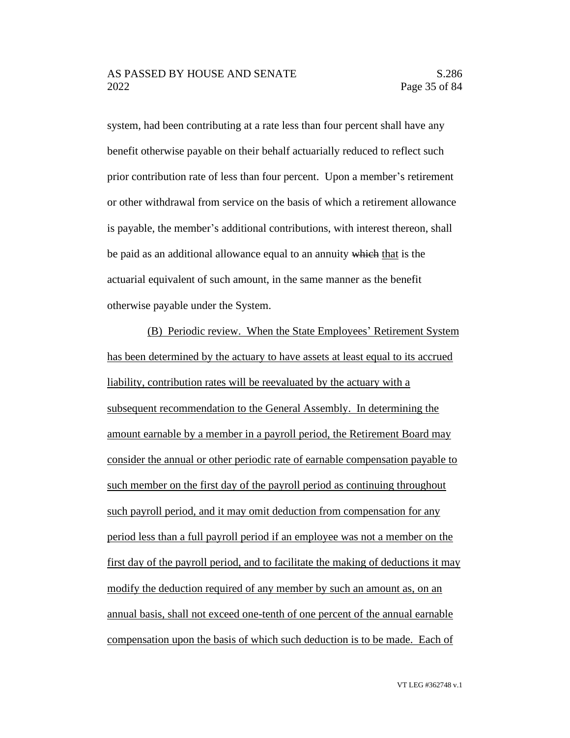system, had been contributing at a rate less than four percent shall have any benefit otherwise payable on their behalf actuarially reduced to reflect such prior contribution rate of less than four percent. Upon a member's retirement or other withdrawal from service on the basis of which a retirement allowance is payable, the member's additional contributions, with interest thereon, shall be paid as an additional allowance equal to an annuity which that is the actuarial equivalent of such amount, in the same manner as the benefit otherwise payable under the System.

(B) Periodic review. When the State Employees' Retirement System has been determined by the actuary to have assets at least equal to its accrued liability, contribution rates will be reevaluated by the actuary with a subsequent recommendation to the General Assembly. In determining the amount earnable by a member in a payroll period, the Retirement Board may consider the annual or other periodic rate of earnable compensation payable to such member on the first day of the payroll period as continuing throughout such payroll period, and it may omit deduction from compensation for any period less than a full payroll period if an employee was not a member on the first day of the payroll period, and to facilitate the making of deductions it may modify the deduction required of any member by such an amount as, on an annual basis, shall not exceed one-tenth of one percent of the annual earnable compensation upon the basis of which such deduction is to be made. Each of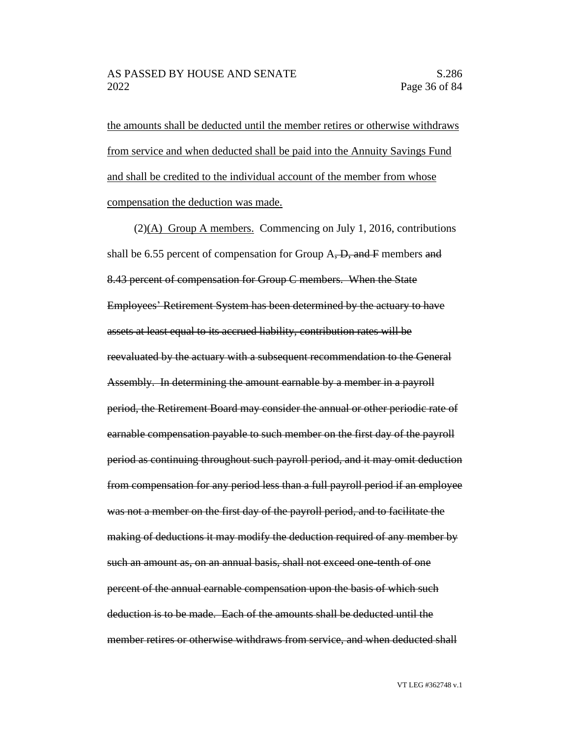the amounts shall be deducted until the member retires or otherwise withdraws from service and when deducted shall be paid into the Annuity Savings Fund and shall be credited to the individual account of the member from whose compensation the deduction was made.

(2)(A) Group A members. Commencing on July 1, 2016, contributions shall be 6.55 percent of compensation for Group  $A$ ,  $D$ , and  $F$  members and 8.43 percent of compensation for Group C members. When the State Employees' Retirement System has been determined by the actuary to have assets at least equal to its accrued liability, contribution rates will be reevaluated by the actuary with a subsequent recommendation to the General Assembly. In determining the amount earnable by a member in a payroll period, the Retirement Board may consider the annual or other periodic rate of earnable compensation payable to such member on the first day of the payroll period as continuing throughout such payroll period, and it may omit deduction from compensation for any period less than a full payroll period if an employee was not a member on the first day of the payroll period, and to facilitate the making of deductions it may modify the deduction required of any member by such an amount as, on an annual basis, shall not exceed one-tenth of one percent of the annual earnable compensation upon the basis of which such deduction is to be made. Each of the amounts shall be deducted until the member retires or otherwise withdraws from service, and when deducted shall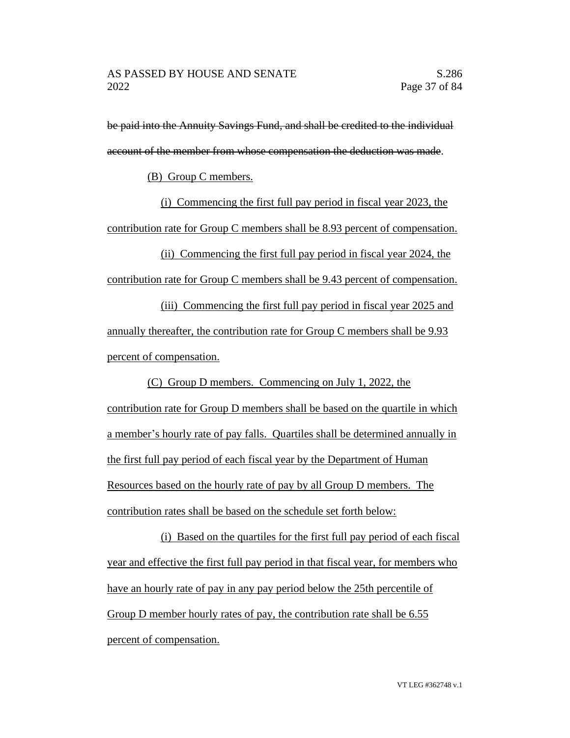be paid into the Annuity Savings Fund, and shall be credited to the individual account of the member from whose compensation the deduction was made.

(B) Group C members.

(i) Commencing the first full pay period in fiscal year 2023, the contribution rate for Group C members shall be 8.93 percent of compensation.

(ii) Commencing the first full pay period in fiscal year 2024, the contribution rate for Group C members shall be 9.43 percent of compensation.

(iii) Commencing the first full pay period in fiscal year 2025 and annually thereafter, the contribution rate for Group C members shall be 9.93 percent of compensation.

(C) Group D members. Commencing on July 1, 2022, the contribution rate for Group D members shall be based on the quartile in which a member's hourly rate of pay falls. Quartiles shall be determined annually in the first full pay period of each fiscal year by the Department of Human Resources based on the hourly rate of pay by all Group D members. The contribution rates shall be based on the schedule set forth below:

(i) Based on the quartiles for the first full pay period of each fiscal year and effective the first full pay period in that fiscal year, for members who have an hourly rate of pay in any pay period below the 25th percentile of Group D member hourly rates of pay, the contribution rate shall be 6.55 percent of compensation.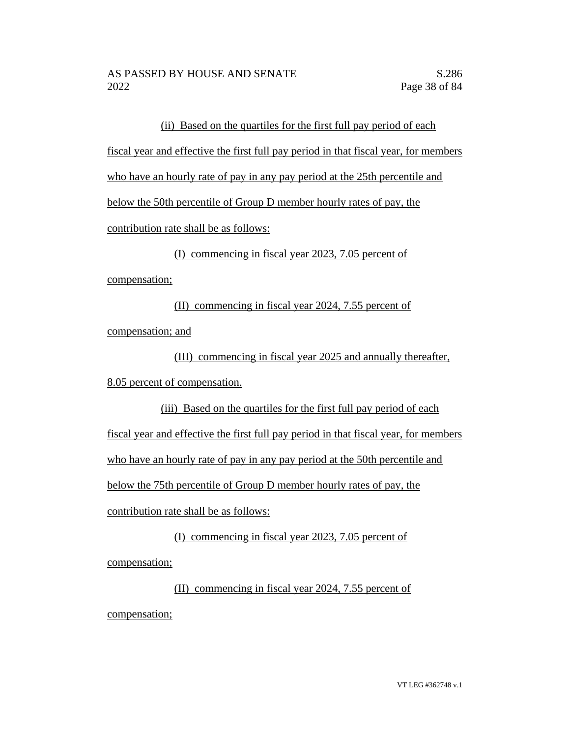(ii) Based on the quartiles for the first full pay period of each fiscal year and effective the first full pay period in that fiscal year, for members who have an hourly rate of pay in any pay period at the 25th percentile and below the 50th percentile of Group D member hourly rates of pay, the contribution rate shall be as follows:

(I) commencing in fiscal year 2023, 7.05 percent of compensation;

(II) commencing in fiscal year 2024, 7.55 percent of compensation; and

(III) commencing in fiscal year 2025 and annually thereafter, 8.05 percent of compensation.

(iii) Based on the quartiles for the first full pay period of each fiscal year and effective the first full pay period in that fiscal year, for members who have an hourly rate of pay in any pay period at the 50th percentile and below the 75th percentile of Group D member hourly rates of pay, the contribution rate shall be as follows:

(I) commencing in fiscal year 2023, 7.05 percent of compensation;

(II) commencing in fiscal year 2024, 7.55 percent of compensation;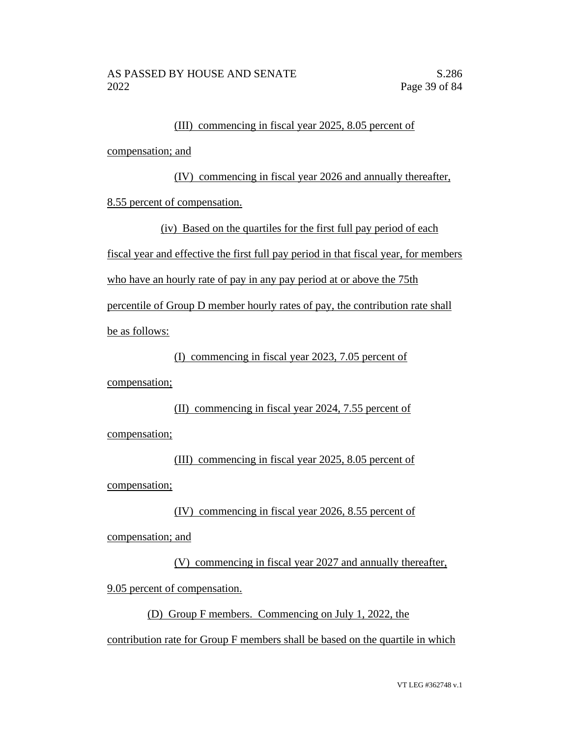#### (III) commencing in fiscal year 2025, 8.05 percent of

compensation; and

(IV) commencing in fiscal year 2026 and annually thereafter,

8.55 percent of compensation.

(iv) Based on the quartiles for the first full pay period of each fiscal year and effective the first full pay period in that fiscal year, for members who have an hourly rate of pay in any pay period at or above the 75th percentile of Group D member hourly rates of pay, the contribution rate shall be as follows:

(I) commencing in fiscal year 2023, 7.05 percent of

compensation;

### (II) commencing in fiscal year 2024, 7.55 percent of

compensation;

(III) commencing in fiscal year 2025, 8.05 percent of compensation;

(IV) commencing in fiscal year 2026, 8.55 percent of compensation; and

(V) commencing in fiscal year 2027 and annually thereafter, 9.05 percent of compensation.

(D) Group F members. Commencing on July 1, 2022, the

contribution rate for Group F members shall be based on the quartile in which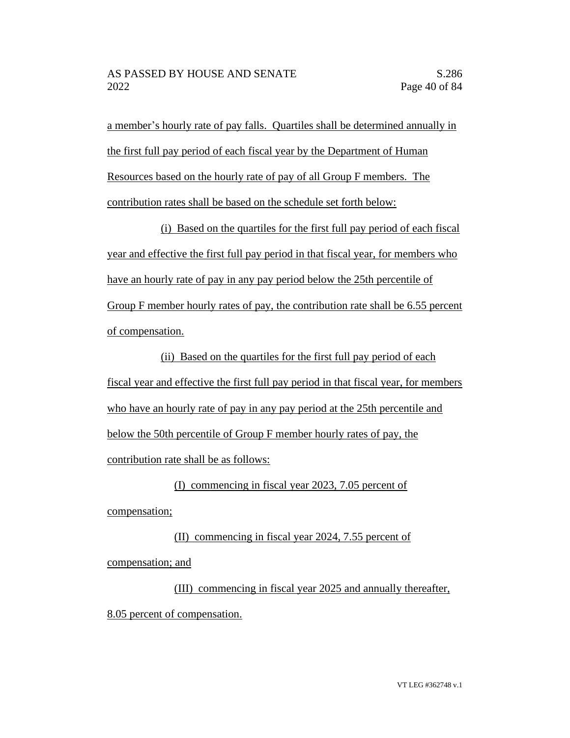a member's hourly rate of pay falls. Quartiles shall be determined annually in the first full pay period of each fiscal year by the Department of Human Resources based on the hourly rate of pay of all Group F members. The contribution rates shall be based on the schedule set forth below:

(i) Based on the quartiles for the first full pay period of each fiscal year and effective the first full pay period in that fiscal year, for members who have an hourly rate of pay in any pay period below the 25th percentile of Group F member hourly rates of pay, the contribution rate shall be 6.55 percent of compensation.

(ii) Based on the quartiles for the first full pay period of each fiscal year and effective the first full pay period in that fiscal year, for members who have an hourly rate of pay in any pay period at the 25th percentile and below the 50th percentile of Group F member hourly rates of pay, the contribution rate shall be as follows:

(I) commencing in fiscal year 2023, 7.05 percent of compensation;

(II) commencing in fiscal year 2024, 7.55 percent of compensation; and

(III) commencing in fiscal year 2025 and annually thereafter, 8.05 percent of compensation.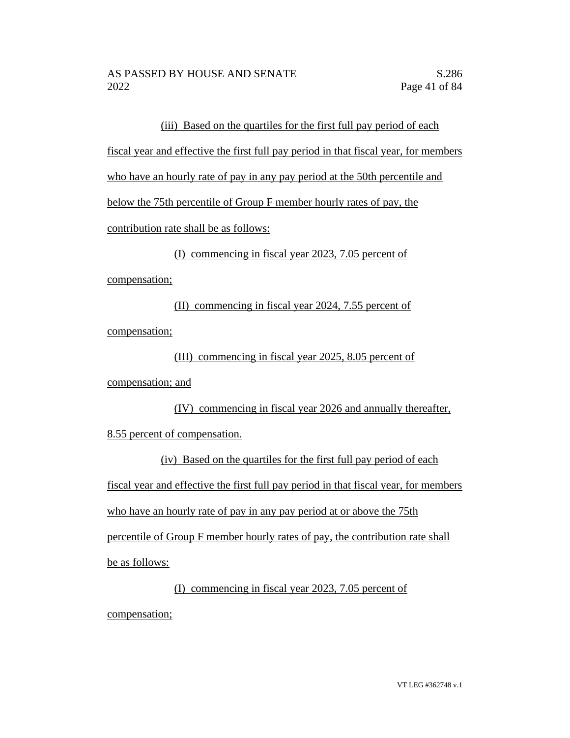(iii) Based on the quartiles for the first full pay period of each

fiscal year and effective the first full pay period in that fiscal year, for members

who have an hourly rate of pay in any pay period at the 50th percentile and

below the 75th percentile of Group F member hourly rates of pay, the

contribution rate shall be as follows:

(I) commencing in fiscal year 2023, 7.05 percent of

compensation;

(II) commencing in fiscal year 2024, 7.55 percent of compensation;

(III) commencing in fiscal year 2025, 8.05 percent of

compensation; and

(IV) commencing in fiscal year 2026 and annually thereafter, 8.55 percent of compensation.

(iv) Based on the quartiles for the first full pay period of each fiscal year and effective the first full pay period in that fiscal year, for members who have an hourly rate of pay in any pay period at or above the 75th percentile of Group F member hourly rates of pay, the contribution rate shall be as follows:

(I) commencing in fiscal year 2023, 7.05 percent of compensation;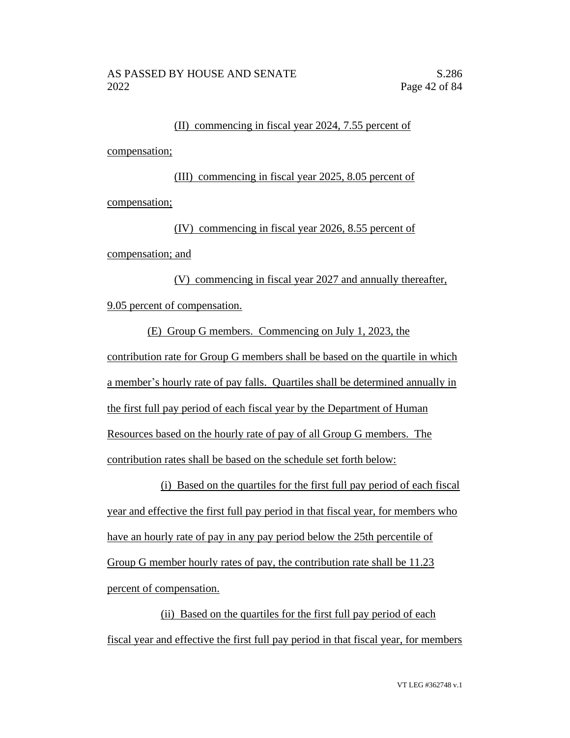# (II) commencing in fiscal year 2024, 7.55 percent of

compensation;

(III) commencing in fiscal year 2025, 8.05 percent of compensation;

(IV) commencing in fiscal year 2026, 8.55 percent of compensation; and

(V) commencing in fiscal year 2027 and annually thereafter, 9.05 percent of compensation.

(E) Group G members. Commencing on July 1, 2023, the contribution rate for Group G members shall be based on the quartile in which a member's hourly rate of pay falls. Quartiles shall be determined annually in the first full pay period of each fiscal year by the Department of Human Resources based on the hourly rate of pay of all Group G members. The contribution rates shall be based on the schedule set forth below:

(i) Based on the quartiles for the first full pay period of each fiscal year and effective the first full pay period in that fiscal year, for members who have an hourly rate of pay in any pay period below the 25th percentile of Group G member hourly rates of pay, the contribution rate shall be 11.23 percent of compensation.

(ii) Based on the quartiles for the first full pay period of each fiscal year and effective the first full pay period in that fiscal year, for members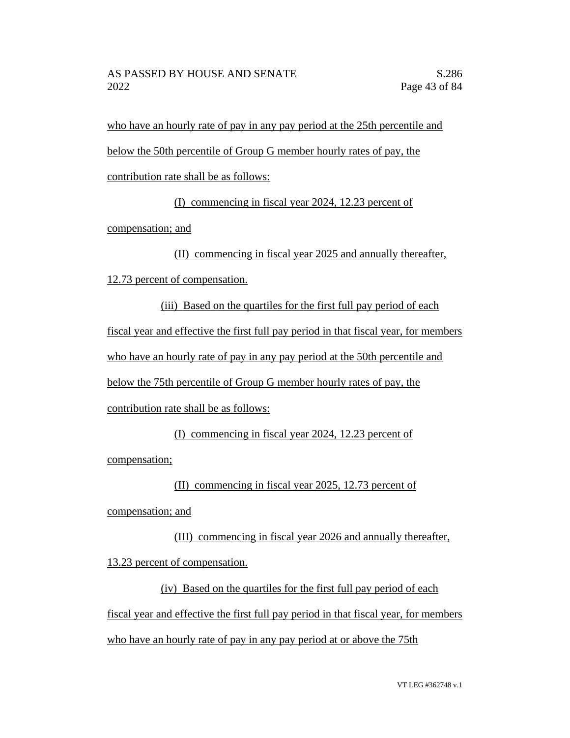who have an hourly rate of pay in any pay period at the 25th percentile and below the 50th percentile of Group G member hourly rates of pay, the

contribution rate shall be as follows:

(I) commencing in fiscal year 2024, 12.23 percent of

compensation; and

(II) commencing in fiscal year 2025 and annually thereafter,

12.73 percent of compensation.

(iii) Based on the quartiles for the first full pay period of each fiscal year and effective the first full pay period in that fiscal year, for members who have an hourly rate of pay in any pay period at the 50th percentile and below the 75th percentile of Group G member hourly rates of pay, the contribution rate shall be as follows:

(I) commencing in fiscal year 2024, 12.23 percent of compensation;

(II) commencing in fiscal year 2025, 12.73 percent of

compensation; and

(III) commencing in fiscal year 2026 and annually thereafter, 13.23 percent of compensation.

(iv) Based on the quartiles for the first full pay period of each fiscal year and effective the first full pay period in that fiscal year, for members who have an hourly rate of pay in any pay period at or above the 75th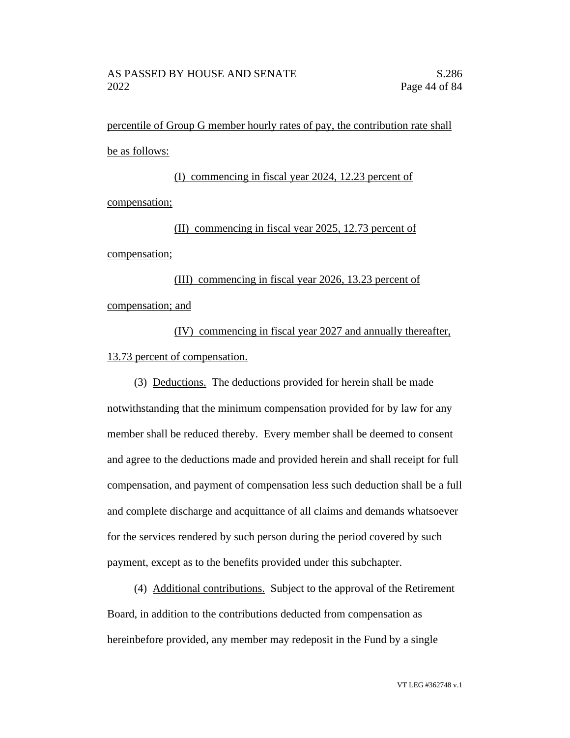percentile of Group G member hourly rates of pay, the contribution rate shall be as follows:

(I) commencing in fiscal year 2024, 12.23 percent of compensation;

(II) commencing in fiscal year 2025, 12.73 percent of compensation;

(III) commencing in fiscal year 2026, 13.23 percent of compensation; and

(IV) commencing in fiscal year 2027 and annually thereafter, 13.73 percent of compensation.

(3) Deductions. The deductions provided for herein shall be made notwithstanding that the minimum compensation provided for by law for any member shall be reduced thereby. Every member shall be deemed to consent and agree to the deductions made and provided herein and shall receipt for full compensation, and payment of compensation less such deduction shall be a full and complete discharge and acquittance of all claims and demands whatsoever for the services rendered by such person during the period covered by such payment, except as to the benefits provided under this subchapter.

(4) Additional contributions. Subject to the approval of the Retirement Board, in addition to the contributions deducted from compensation as hereinbefore provided, any member may redeposit in the Fund by a single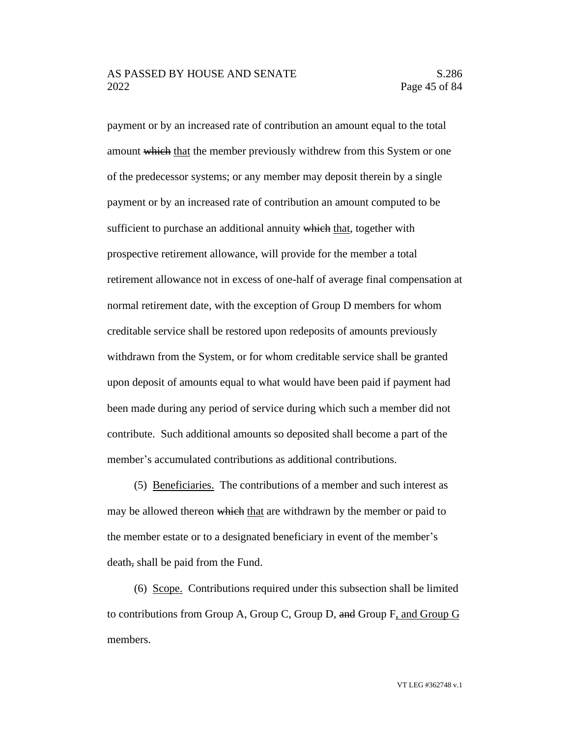#### AS PASSED BY HOUSE AND SENATE S.286 2022 Page 45 of 84

payment or by an increased rate of contribution an amount equal to the total amount which that the member previously withdrew from this System or one of the predecessor systems; or any member may deposit therein by a single payment or by an increased rate of contribution an amount computed to be sufficient to purchase an additional annuity which that, together with prospective retirement allowance, will provide for the member a total retirement allowance not in excess of one-half of average final compensation at normal retirement date, with the exception of Group D members for whom creditable service shall be restored upon redeposits of amounts previously withdrawn from the System, or for whom creditable service shall be granted upon deposit of amounts equal to what would have been paid if payment had been made during any period of service during which such a member did not contribute. Such additional amounts so deposited shall become a part of the member's accumulated contributions as additional contributions.

(5) Beneficiaries. The contributions of a member and such interest as may be allowed thereon which that are withdrawn by the member or paid to the member estate or to a designated beneficiary in event of the member's death, shall be paid from the Fund.

(6) Scope. Contributions required under this subsection shall be limited to contributions from Group A, Group C, Group D, and Group F, and Group G members.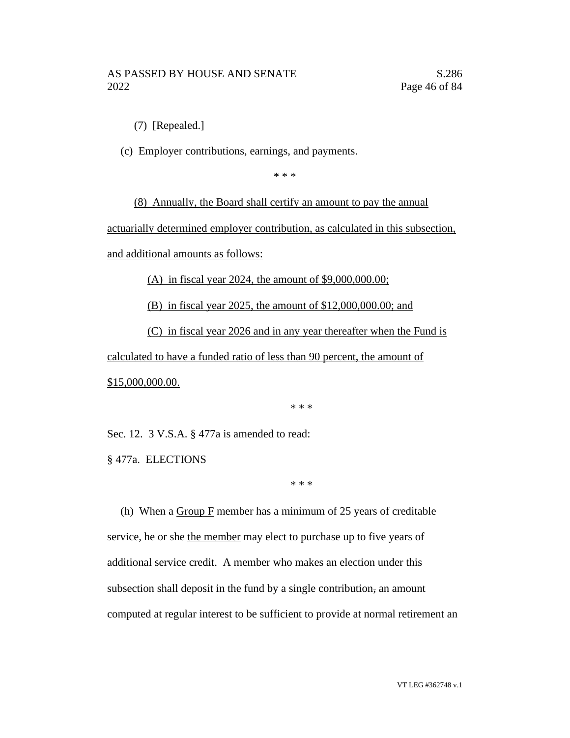(7) [Repealed.]

(c) Employer contributions, earnings, and payments.

\* \* \*

(8) Annually, the Board shall certify an amount to pay the annual

actuarially determined employer contribution, as calculated in this subsection,

and additional amounts as follows:

(A) in fiscal year 2024, the amount of \$9,000,000.00;

(B) in fiscal year 2025, the amount of \$12,000,000.00; and

(C) in fiscal year 2026 and in any year thereafter when the Fund is

calculated to have a funded ratio of less than 90 percent, the amount of \$15,000,000.00.

\* \* \*

Sec. 12. 3 V.S.A. § 477a is amended to read:

§ 477a. ELECTIONS

\* \* \*

(h) When a  $Group F$  member has a minimum of 25 years of creditable service, he or she the member may elect to purchase up to five years of additional service credit. A member who makes an election under this subsection shall deposit in the fund by a single contribution, an amount computed at regular interest to be sufficient to provide at normal retirement an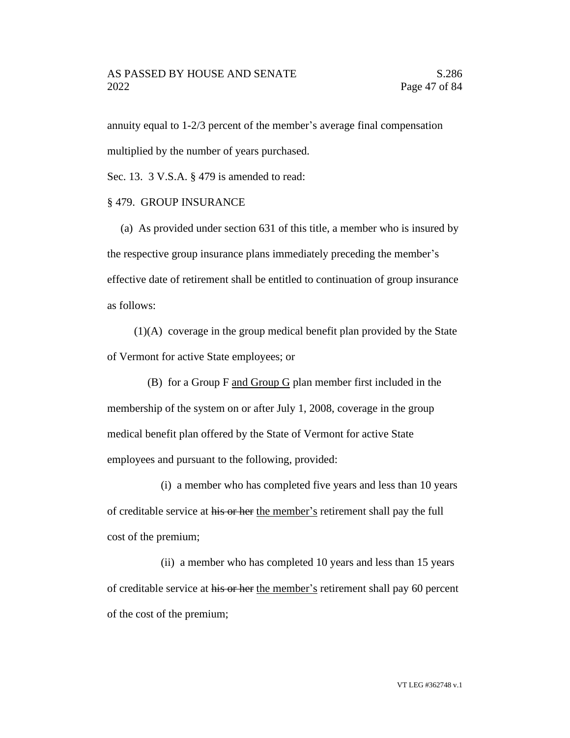#### AS PASSED BY HOUSE AND SENATE S.286 2022 Page 47 of 84

annuity equal to 1-2/3 percent of the member's average final compensation multiplied by the number of years purchased.

Sec. 13. 3 V.S.A. § 479 is amended to read:

#### § 479. GROUP INSURANCE

(a) As provided under section 631 of this title, a member who is insured by the respective group insurance plans immediately preceding the member's effective date of retirement shall be entitled to continuation of group insurance as follows:

(1)(A) coverage in the group medical benefit plan provided by the State of Vermont for active State employees; or

(B) for a Group F and Group G plan member first included in the membership of the system on or after July 1, 2008, coverage in the group medical benefit plan offered by the State of Vermont for active State employees and pursuant to the following, provided:

(i) a member who has completed five years and less than 10 years of creditable service at his or her the member's retirement shall pay the full cost of the premium;

(ii) a member who has completed 10 years and less than 15 years of creditable service at his or her the member's retirement shall pay 60 percent of the cost of the premium;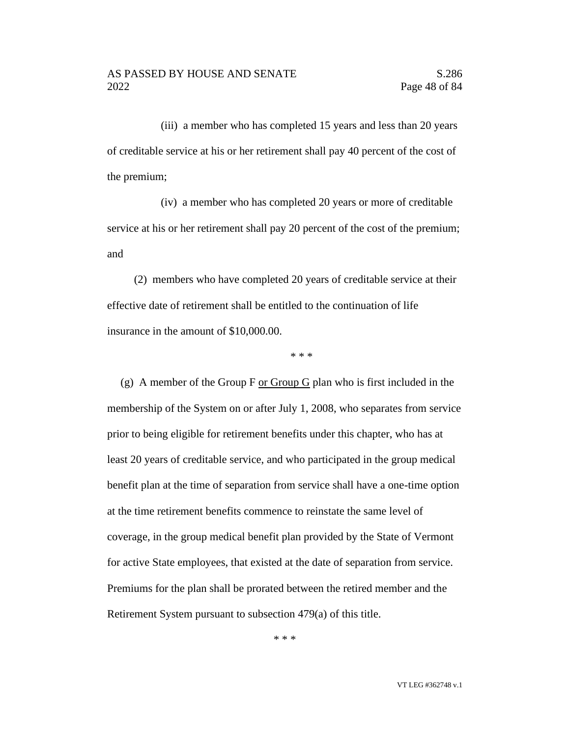(iii) a member who has completed 15 years and less than 20 years of creditable service at his or her retirement shall pay 40 percent of the cost of the premium;

(iv) a member who has completed 20 years or more of creditable service at his or her retirement shall pay 20 percent of the cost of the premium; and

(2) members who have completed 20 years of creditable service at their effective date of retirement shall be entitled to the continuation of life insurance in the amount of \$10,000.00.

\* \* \*

(g) A member of the Group F or Group G plan who is first included in the membership of the System on or after July 1, 2008, who separates from service prior to being eligible for retirement benefits under this chapter, who has at least 20 years of creditable service, and who participated in the group medical benefit plan at the time of separation from service shall have a one-time option at the time retirement benefits commence to reinstate the same level of coverage, in the group medical benefit plan provided by the State of Vermont for active State employees, that existed at the date of separation from service. Premiums for the plan shall be prorated between the retired member and the Retirement System pursuant to subsection 479(a) of this title.

\* \* \*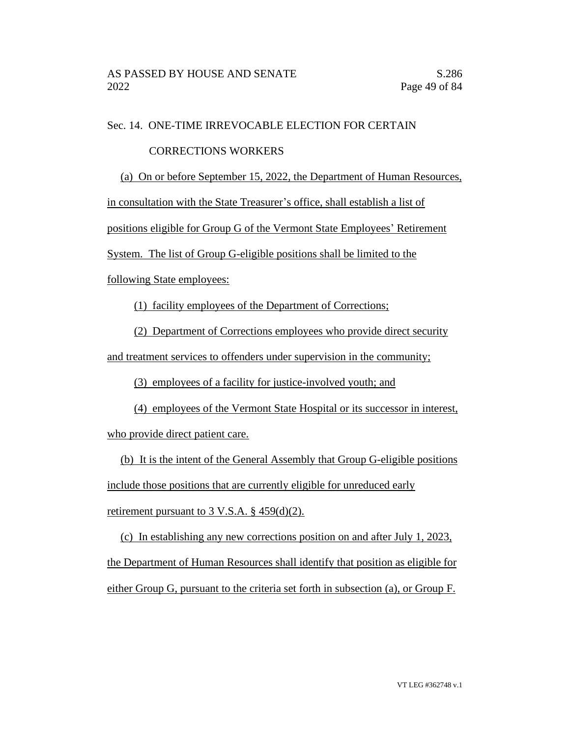#### Sec. 14. ONE-TIME IRREVOCABLE ELECTION FOR CERTAIN

#### CORRECTIONS WORKERS

(a) On or before September 15, 2022, the Department of Human Resources,

in consultation with the State Treasurer's office, shall establish a list of

positions eligible for Group G of the Vermont State Employees' Retirement

System. The list of Group G-eligible positions shall be limited to the

following State employees:

(1) facility employees of the Department of Corrections;

(2) Department of Corrections employees who provide direct security

and treatment services to offenders under supervision in the community;

(3) employees of a facility for justice-involved youth; and

(4) employees of the Vermont State Hospital or its successor in interest, who provide direct patient care.

(b) It is the intent of the General Assembly that Group G-eligible positions include those positions that are currently eligible for unreduced early retirement pursuant to  $3$  V.S.A.  $\S$  459(d)(2).

(c) In establishing any new corrections position on and after July 1, 2023, the Department of Human Resources shall identify that position as eligible for either Group G, pursuant to the criteria set forth in subsection (a), or Group F.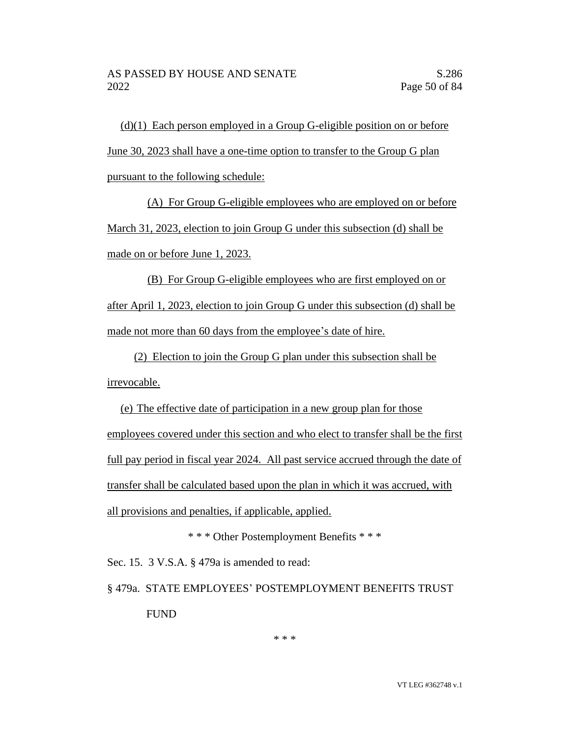(d)(1) Each person employed in a Group G-eligible position on or before June 30, 2023 shall have a one-time option to transfer to the Group G plan pursuant to the following schedule:

(A) For Group G-eligible employees who are employed on or before March 31, 2023, election to join Group G under this subsection (d) shall be made on or before June 1, 2023.

(B) For Group G-eligible employees who are first employed on or after April 1, 2023, election to join Group G under this subsection (d) shall be made not more than 60 days from the employee's date of hire.

(2) Election to join the Group G plan under this subsection shall be irrevocable.

(e) The effective date of participation in a new group plan for those employees covered under this section and who elect to transfer shall be the first full pay period in fiscal year 2024. All past service accrued through the date of transfer shall be calculated based upon the plan in which it was accrued, with all provisions and penalties, if applicable, applied.

\* \* \* Other Postemployment Benefits \* \* \*

Sec. 15. 3 V.S.A. § 479a is amended to read:

§ 479a. STATE EMPLOYEES' POSTEMPLOYMENT BENEFITS TRUST FUND

\* \* \*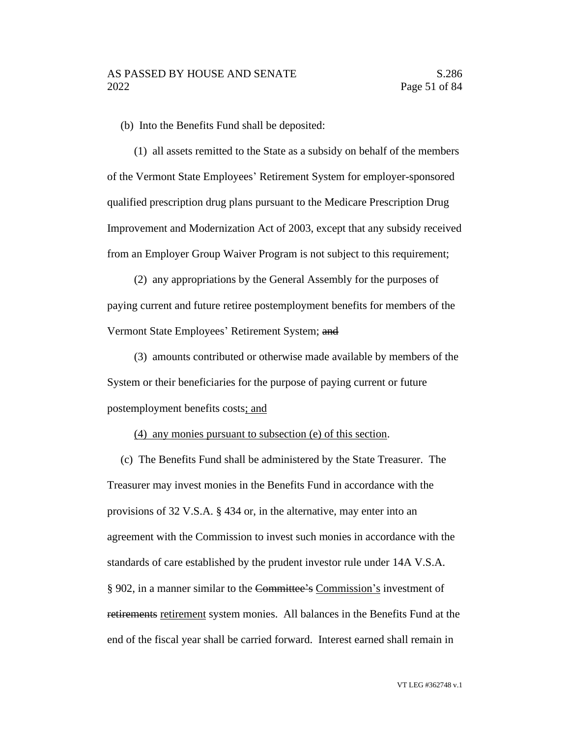(b) Into the Benefits Fund shall be deposited:

(1) all assets remitted to the State as a subsidy on behalf of the members of the Vermont State Employees' Retirement System for employer-sponsored qualified prescription drug plans pursuant to the Medicare Prescription Drug Improvement and Modernization Act of 2003, except that any subsidy received from an Employer Group Waiver Program is not subject to this requirement;

(2) any appropriations by the General Assembly for the purposes of paying current and future retiree postemployment benefits for members of the Vermont State Employees' Retirement System; and

(3) amounts contributed or otherwise made available by members of the System or their beneficiaries for the purpose of paying current or future postemployment benefits costs; and

(4) any monies pursuant to subsection (e) of this section.

(c) The Benefits Fund shall be administered by the State Treasurer. The Treasurer may invest monies in the Benefits Fund in accordance with the provisions of 32 V.S.A. § 434 or, in the alternative, may enter into an agreement with the Commission to invest such monies in accordance with the standards of care established by the prudent investor rule under 14A V.S.A. § 902, in a manner similar to the Committee's Commission's investment of retirements retirement system monies. All balances in the Benefits Fund at the end of the fiscal year shall be carried forward. Interest earned shall remain in

VT LEG #362748 v.1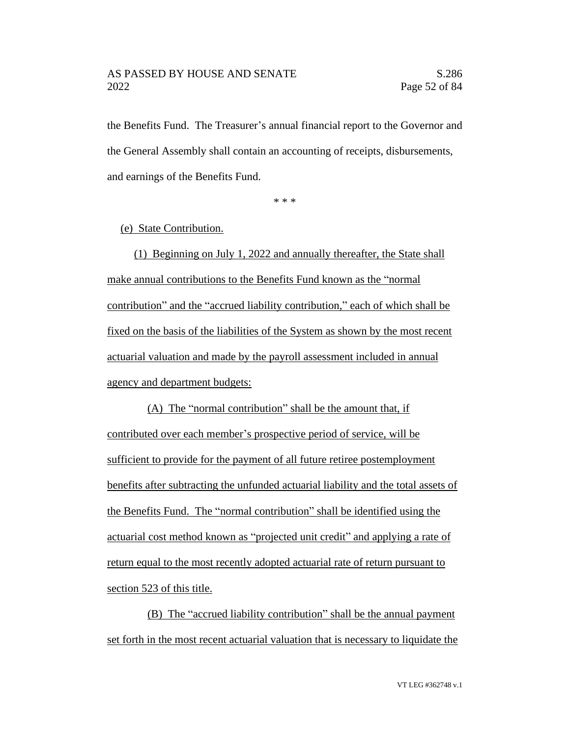the Benefits Fund. The Treasurer's annual financial report to the Governor and the General Assembly shall contain an accounting of receipts, disbursements, and earnings of the Benefits Fund.

\* \* \*

#### (e) State Contribution.

(1) Beginning on July 1, 2022 and annually thereafter, the State shall make annual contributions to the Benefits Fund known as the "normal contribution" and the "accrued liability contribution," each of which shall be fixed on the basis of the liabilities of the System as shown by the most recent actuarial valuation and made by the payroll assessment included in annual agency and department budgets:

(A) The "normal contribution" shall be the amount that, if contributed over each member's prospective period of service, will be sufficient to provide for the payment of all future retiree postemployment benefits after subtracting the unfunded actuarial liability and the total assets of the Benefits Fund. The "normal contribution" shall be identified using the actuarial cost method known as "projected unit credit" and applying a rate of return equal to the most recently adopted actuarial rate of return pursuant to section 523 of this title.

(B) The "accrued liability contribution" shall be the annual payment set forth in the most recent actuarial valuation that is necessary to liquidate the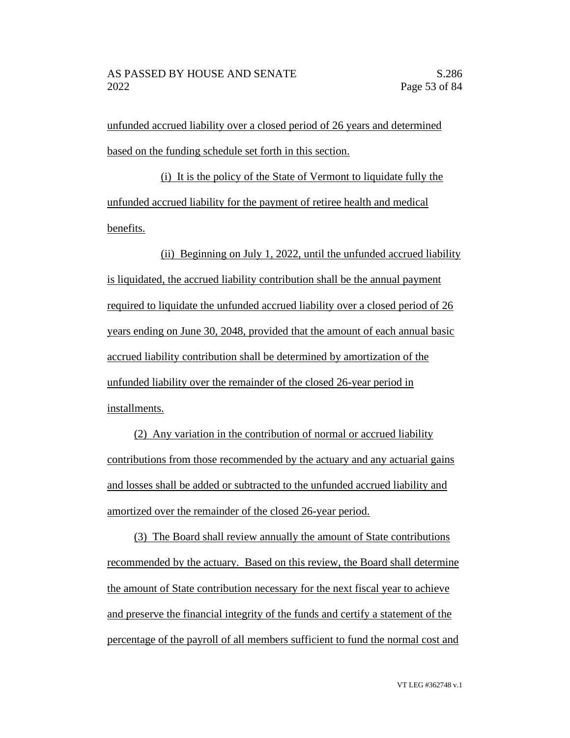unfunded accrued liability over a closed period of 26 years and determined based on the funding schedule set forth in this section.

(i) It is the policy of the State of Vermont to liquidate fully the unfunded accrued liability for the payment of retiree health and medical benefits.

(ii) Beginning on July 1, 2022, until the unfunded accrued liability is liquidated, the accrued liability contribution shall be the annual payment required to liquidate the unfunded accrued liability over a closed period of 26 years ending on June 30, 2048, provided that the amount of each annual basic accrued liability contribution shall be determined by amortization of the unfunded liability over the remainder of the closed 26-year period in installments.

(2) Any variation in the contribution of normal or accrued liability contributions from those recommended by the actuary and any actuarial gains and losses shall be added or subtracted to the unfunded accrued liability and amortized over the remainder of the closed 26-year period.

(3) The Board shall review annually the amount of State contributions recommended by the actuary. Based on this review, the Board shall determine the amount of State contribution necessary for the next fiscal year to achieve and preserve the financial integrity of the funds and certify a statement of the percentage of the payroll of all members sufficient to fund the normal cost and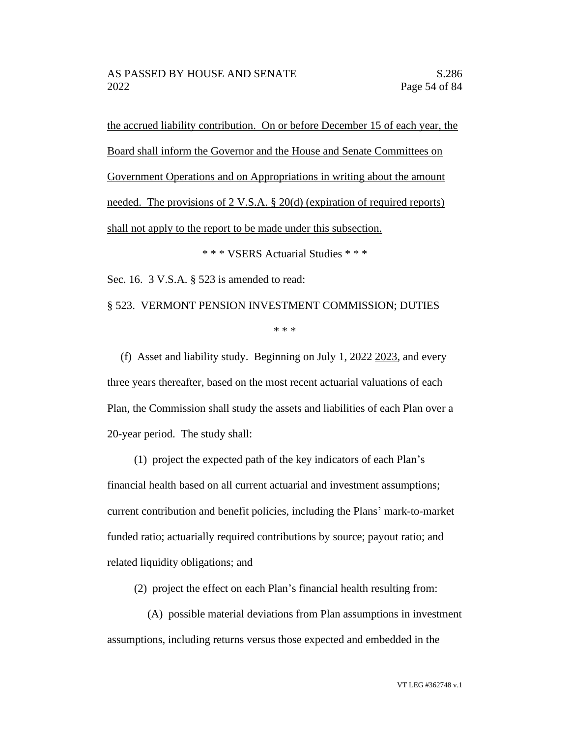the accrued liability contribution. On or before December 15 of each year, the Board shall inform the Governor and the House and Senate Committees on Government Operations and on Appropriations in writing about the amount needed. The provisions of 2 V.S.A. § 20(d) (expiration of required reports) shall not apply to the report to be made under this subsection.

\* \* \* VSERS Actuarial Studies \* \* \*

Sec. 16. 3 V.S.A. § 523 is amended to read:

§ 523. VERMONT PENSION INVESTMENT COMMISSION; DUTIES

\* \* \*

(f) Asset and liability study. Beginning on July 1, 2022 2023, and every three years thereafter, based on the most recent actuarial valuations of each Plan, the Commission shall study the assets and liabilities of each Plan over a 20-year period. The study shall:

(1) project the expected path of the key indicators of each Plan's financial health based on all current actuarial and investment assumptions; current contribution and benefit policies, including the Plans' mark-to-market funded ratio; actuarially required contributions by source; payout ratio; and related liquidity obligations; and

(2) project the effect on each Plan's financial health resulting from:

(A) possible material deviations from Plan assumptions in investment assumptions, including returns versus those expected and embedded in the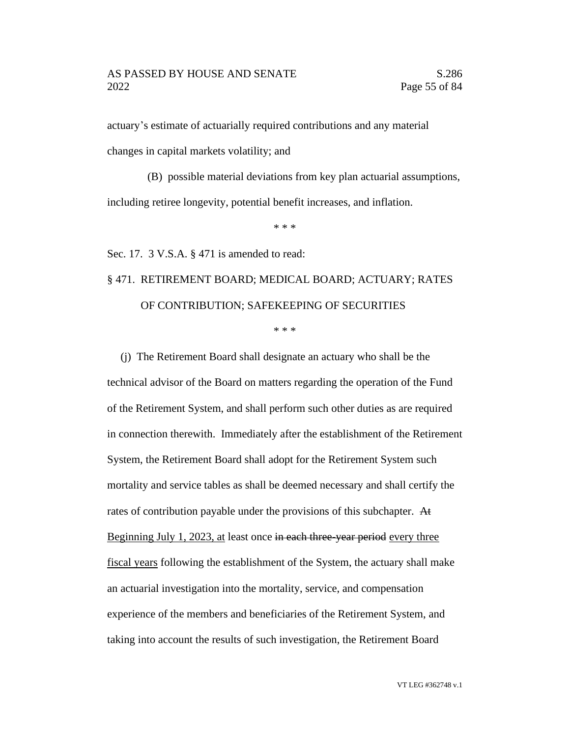actuary's estimate of actuarially required contributions and any material changes in capital markets volatility; and

(B) possible material deviations from key plan actuarial assumptions, including retiree longevity, potential benefit increases, and inflation.

\* \* \*

Sec. 17. 3 V.S.A. § 471 is amended to read:

## § 471. RETIREMENT BOARD; MEDICAL BOARD; ACTUARY; RATES OF CONTRIBUTION; SAFEKEEPING OF SECURITIES

\* \* \*

(j) The Retirement Board shall designate an actuary who shall be the technical advisor of the Board on matters regarding the operation of the Fund of the Retirement System, and shall perform such other duties as are required in connection therewith. Immediately after the establishment of the Retirement System, the Retirement Board shall adopt for the Retirement System such mortality and service tables as shall be deemed necessary and shall certify the rates of contribution payable under the provisions of this subchapter. At Beginning July 1, 2023, at least once in each three-year period every three fiscal years following the establishment of the System, the actuary shall make an actuarial investigation into the mortality, service, and compensation experience of the members and beneficiaries of the Retirement System, and taking into account the results of such investigation, the Retirement Board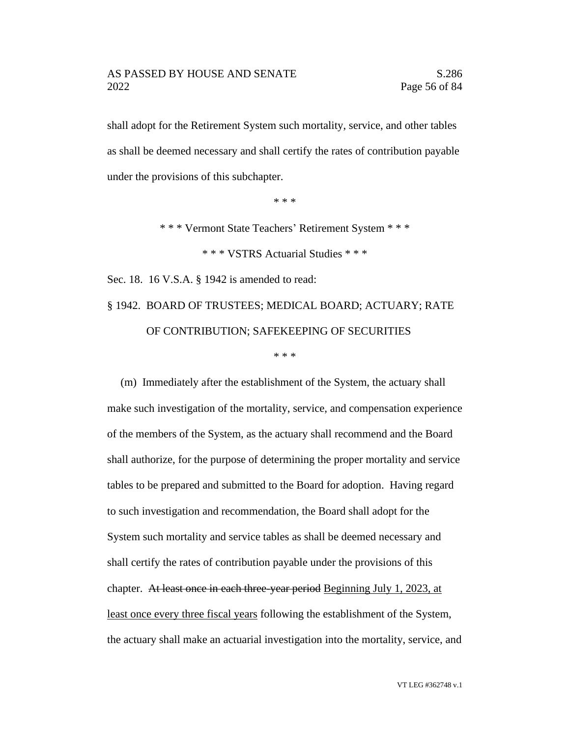shall adopt for the Retirement System such mortality, service, and other tables as shall be deemed necessary and shall certify the rates of contribution payable under the provisions of this subchapter.

\* \* \*

\* \* \* Vermont State Teachers' Retirement System \* \* \*

\* \* \* VSTRS Actuarial Studies \* \* \*

Sec. 18. 16 V.S.A. § 1942 is amended to read:

§ 1942. BOARD OF TRUSTEES; MEDICAL BOARD; ACTUARY; RATE OF CONTRIBUTION; SAFEKEEPING OF SECURITIES

\* \* \*

(m) Immediately after the establishment of the System, the actuary shall make such investigation of the mortality, service, and compensation experience of the members of the System, as the actuary shall recommend and the Board shall authorize, for the purpose of determining the proper mortality and service tables to be prepared and submitted to the Board for adoption. Having regard to such investigation and recommendation, the Board shall adopt for the System such mortality and service tables as shall be deemed necessary and shall certify the rates of contribution payable under the provisions of this chapter. At least once in each three-year period Beginning July 1, 2023, at least once every three fiscal years following the establishment of the System, the actuary shall make an actuarial investigation into the mortality, service, and

VT LEG #362748 v.1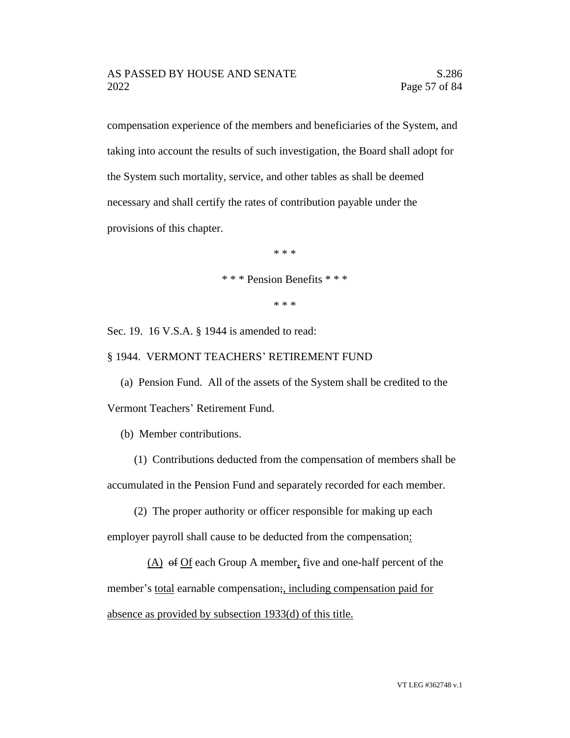compensation experience of the members and beneficiaries of the System, and taking into account the results of such investigation, the Board shall adopt for the System such mortality, service, and other tables as shall be deemed necessary and shall certify the rates of contribution payable under the provisions of this chapter.

\* \* \*

\* \* \* Pension Benefits \* \* \*

\* \* \*

Sec. 19. 16 V.S.A. § 1944 is amended to read:

§ 1944. VERMONT TEACHERS' RETIREMENT FUND

(a) Pension Fund. All of the assets of the System shall be credited to the Vermont Teachers' Retirement Fund.

(b) Member contributions.

(1) Contributions deducted from the compensation of members shall be accumulated in the Pension Fund and separately recorded for each member.

(2) The proper authority or officer responsible for making up each employer payroll shall cause to be deducted from the compensation:

(A) of Of each Group A member, five and one-half percent of the member's <u>total</u> earnable compensation;, including compensation paid for absence as provided by subsection 1933(d) of this title.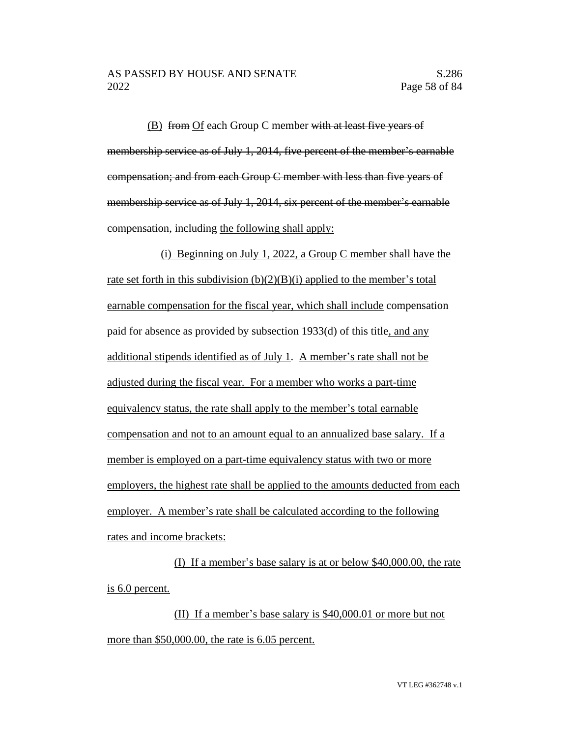(B) from Of each Group C member with at least five years of membership service as of July 1, 2014, five percent of the member's earnable compensation; and from each Group C member with less than five years of membership service as of July 1, 2014, six percent of the member's earnable compensation, including the following shall apply:

(i) Beginning on July 1, 2022, a Group C member shall have the rate set forth in this subdivision  $(b)(2)(B)(i)$  applied to the member's total earnable compensation for the fiscal year, which shall include compensation paid for absence as provided by subsection 1933(d) of this title, and any additional stipends identified as of July 1. A member's rate shall not be adjusted during the fiscal year. For a member who works a part-time equivalency status, the rate shall apply to the member's total earnable compensation and not to an amount equal to an annualized base salary. If a member is employed on a part-time equivalency status with two or more employers, the highest rate shall be applied to the amounts deducted from each employer. A member's rate shall be calculated according to the following rates and income brackets:

(I) If a member's base salary is at or below \$40,000.00, the rate is 6.0 percent.

(II) If a member's base salary is \$40,000.01 or more but not more than \$50,000.00, the rate is 6.05 percent.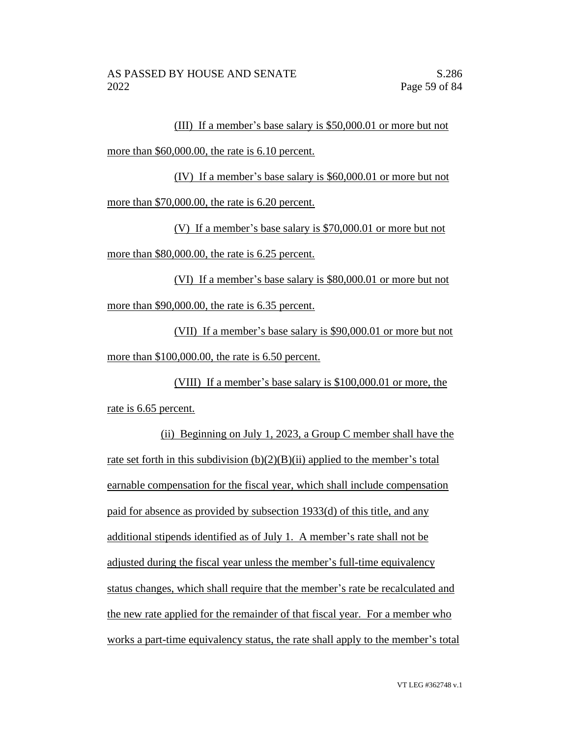(III) If a member's base salary is \$50,000.01 or more but not more than \$60,000.00, the rate is 6.10 percent.

(IV) If a member's base salary is \$60,000.01 or more but not more than \$70,000.00, the rate is 6.20 percent.

(V) If a member's base salary is \$70,000.01 or more but not more than \$80,000.00, the rate is 6.25 percent.

(VI) If a member's base salary is \$80,000.01 or more but not more than \$90,000.00, the rate is 6.35 percent.

(VII) If a member's base salary is \$90,000.01 or more but not more than \$100,000.00, the rate is 6.50 percent.

(VIII) If a member's base salary is \$100,000.01 or more, the rate is 6.65 percent.

(ii) Beginning on July 1, 2023, a Group C member shall have the rate set forth in this subdivision  $(b)(2)(B)(ii)$  applied to the member's total earnable compensation for the fiscal year, which shall include compensation paid for absence as provided by subsection 1933(d) of this title, and any additional stipends identified as of July 1. A member's rate shall not be adjusted during the fiscal year unless the member's full-time equivalency status changes, which shall require that the member's rate be recalculated and the new rate applied for the remainder of that fiscal year. For a member who works a part-time equivalency status, the rate shall apply to the member's total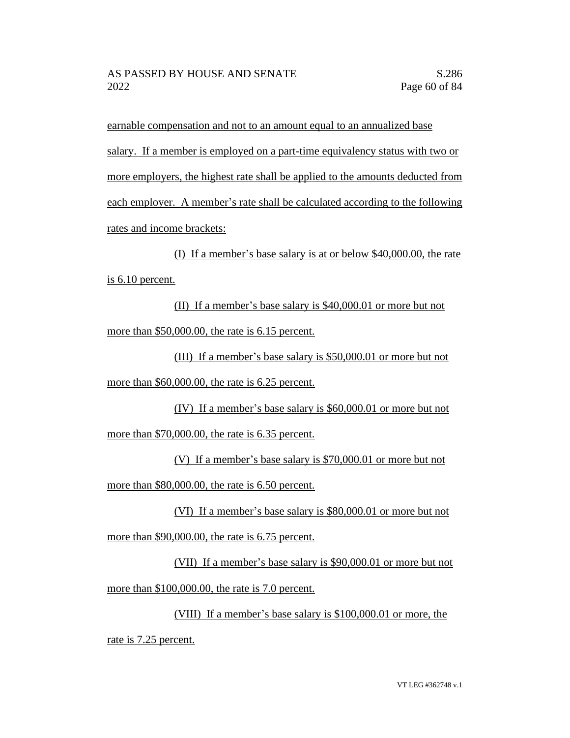earnable compensation and not to an amount equal to an annualized base salary. If a member is employed on a part-time equivalency status with two or more employers, the highest rate shall be applied to the amounts deducted from each employer. A member's rate shall be calculated according to the following rates and income brackets:

(I) If a member's base salary is at or below \$40,000.00, the rate is 6.10 percent.

(II) If a member's base salary is \$40,000.01 or more but not more than \$50,000.00, the rate is 6.15 percent.

(III) If a member's base salary is \$50,000.01 or more but not more than \$60,000.00, the rate is 6.25 percent.

(IV) If a member's base salary is \$60,000.01 or more but not more than \$70,000.00, the rate is 6.35 percent.

(V) If a member's base salary is \$70,000.01 or more but not more than \$80,000.00, the rate is 6.50 percent.

(VI) If a member's base salary is \$80,000.01 or more but not more than \$90,000.00, the rate is 6.75 percent.

(VII) If a member's base salary is \$90,000.01 or more but not more than \$100,000.00, the rate is 7.0 percent.

(VIII) If a member's base salary is \$100,000.01 or more, the rate is 7.25 percent.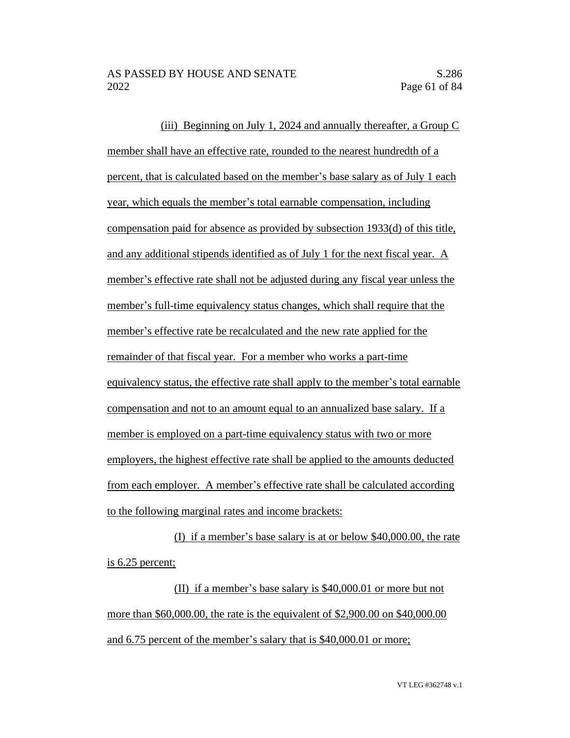(iii) Beginning on July 1, 2024 and annually thereafter, a Group C member shall have an effective rate, rounded to the nearest hundredth of a percent, that is calculated based on the member's base salary as of July 1 each year, which equals the member's total earnable compensation, including compensation paid for absence as provided by subsection 1933(d) of this title, and any additional stipends identified as of July 1 for the next fiscal year. A member's effective rate shall not be adjusted during any fiscal year unless the member's full-time equivalency status changes, which shall require that the member's effective rate be recalculated and the new rate applied for the remainder of that fiscal year. For a member who works a part-time equivalency status, the effective rate shall apply to the member's total earnable compensation and not to an amount equal to an annualized base salary. If a member is employed on a part-time equivalency status with two or more employers, the highest effective rate shall be applied to the amounts deducted from each employer. A member's effective rate shall be calculated according to the following marginal rates and income brackets:

(I) if a member's base salary is at or below \$40,000.00, the rate is 6.25 percent;

(II) if a member's base salary is \$40,000.01 or more but not more than \$60,000.00, the rate is the equivalent of \$2,900.00 on \$40,000.00 and 6.75 percent of the member's salary that is \$40,000.01 or more;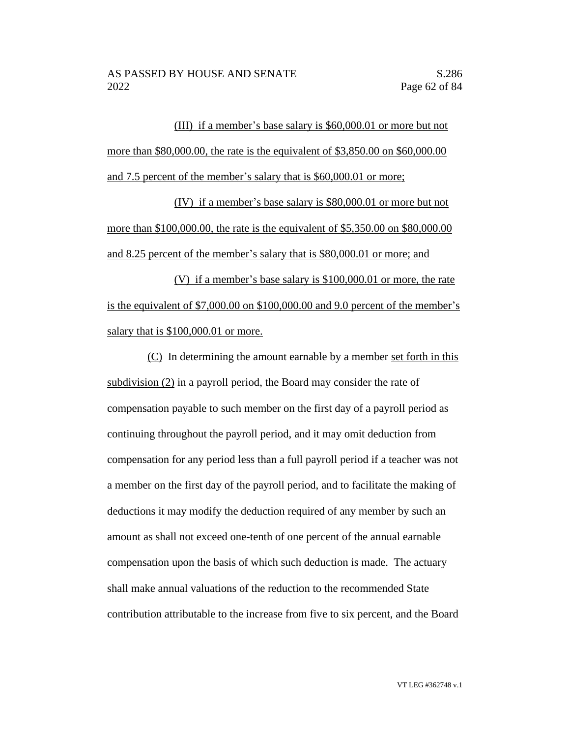(III) if a member's base salary is \$60,000.01 or more but not more than \$80,000.00, the rate is the equivalent of \$3,850.00 on \$60,000.00 and 7.5 percent of the member's salary that is \$60,000.01 or more;

(IV) if a member's base salary is \$80,000.01 or more but not more than \$100,000.00, the rate is the equivalent of \$5,350.00 on \$80,000.00 and 8.25 percent of the member's salary that is \$80,000.01 or more; and

(V) if a member's base salary is \$100,000.01 or more, the rate is the equivalent of \$7,000.00 on \$100,000.00 and 9.0 percent of the member's salary that is \$100,000.01 or more.

(C) In determining the amount earnable by a member set forth in this subdivision (2) in a payroll period, the Board may consider the rate of compensation payable to such member on the first day of a payroll period as continuing throughout the payroll period, and it may omit deduction from compensation for any period less than a full payroll period if a teacher was not a member on the first day of the payroll period, and to facilitate the making of deductions it may modify the deduction required of any member by such an amount as shall not exceed one-tenth of one percent of the annual earnable compensation upon the basis of which such deduction is made. The actuary shall make annual valuations of the reduction to the recommended State contribution attributable to the increase from five to six percent, and the Board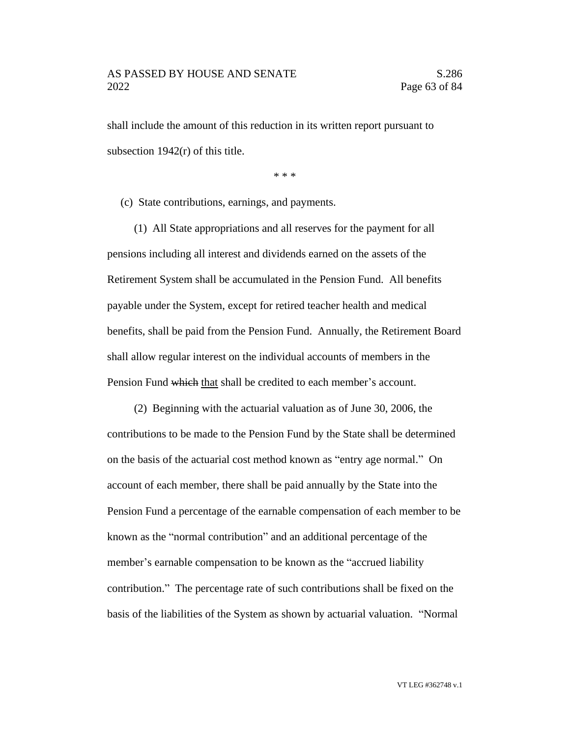shall include the amount of this reduction in its written report pursuant to subsection 1942(r) of this title.

\* \* \*

(c) State contributions, earnings, and payments.

(1) All State appropriations and all reserves for the payment for all pensions including all interest and dividends earned on the assets of the Retirement System shall be accumulated in the Pension Fund. All benefits payable under the System, except for retired teacher health and medical benefits, shall be paid from the Pension Fund. Annually, the Retirement Board shall allow regular interest on the individual accounts of members in the Pension Fund which that shall be credited to each member's account.

(2) Beginning with the actuarial valuation as of June 30, 2006, the contributions to be made to the Pension Fund by the State shall be determined on the basis of the actuarial cost method known as "entry age normal." On account of each member, there shall be paid annually by the State into the Pension Fund a percentage of the earnable compensation of each member to be known as the "normal contribution" and an additional percentage of the member's earnable compensation to be known as the "accrued liability contribution." The percentage rate of such contributions shall be fixed on the basis of the liabilities of the System as shown by actuarial valuation. "Normal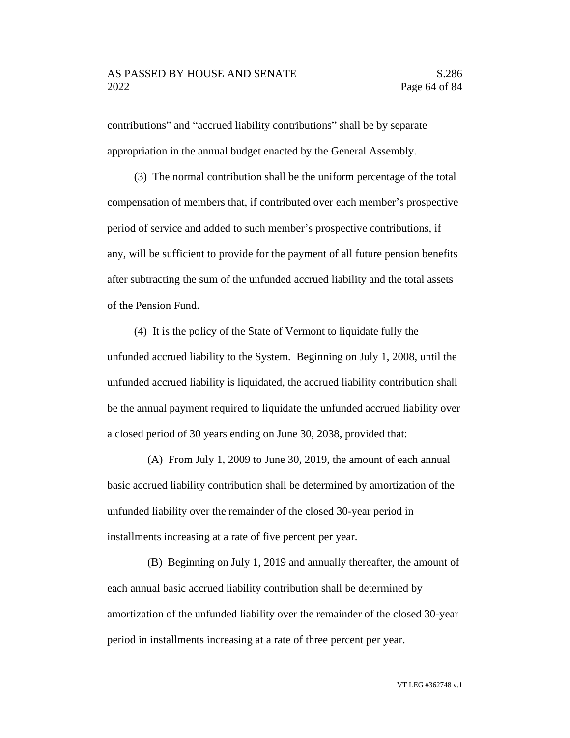contributions" and "accrued liability contributions" shall be by separate appropriation in the annual budget enacted by the General Assembly.

(3) The normal contribution shall be the uniform percentage of the total compensation of members that, if contributed over each member's prospective period of service and added to such member's prospective contributions, if any, will be sufficient to provide for the payment of all future pension benefits after subtracting the sum of the unfunded accrued liability and the total assets of the Pension Fund.

(4) It is the policy of the State of Vermont to liquidate fully the unfunded accrued liability to the System. Beginning on July 1, 2008, until the unfunded accrued liability is liquidated, the accrued liability contribution shall be the annual payment required to liquidate the unfunded accrued liability over a closed period of 30 years ending on June 30, 2038, provided that:

(A) From July 1, 2009 to June 30, 2019, the amount of each annual basic accrued liability contribution shall be determined by amortization of the unfunded liability over the remainder of the closed 30-year period in installments increasing at a rate of five percent per year.

(B) Beginning on July 1, 2019 and annually thereafter, the amount of each annual basic accrued liability contribution shall be determined by amortization of the unfunded liability over the remainder of the closed 30-year period in installments increasing at a rate of three percent per year.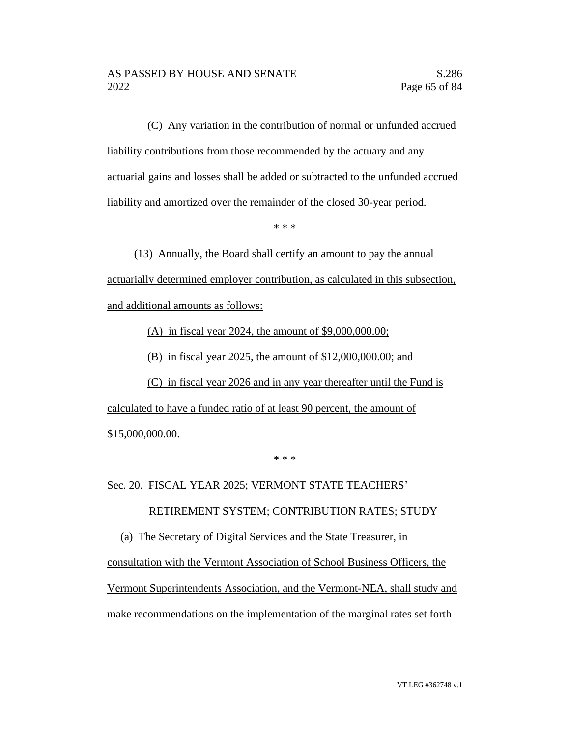(C) Any variation in the contribution of normal or unfunded accrued liability contributions from those recommended by the actuary and any actuarial gains and losses shall be added or subtracted to the unfunded accrued liability and amortized over the remainder of the closed 30-year period.

\* \* \*

(13) Annually, the Board shall certify an amount to pay the annual actuarially determined employer contribution, as calculated in this subsection, and additional amounts as follows:

(A) in fiscal year 2024, the amount of \$9,000,000.00;

(B) in fiscal year 2025, the amount of \$12,000,000.00; and

(C) in fiscal year 2026 and in any year thereafter until the Fund is calculated to have a funded ratio of at least 90 percent, the amount of \$15,000,000.00.

\* \* \*

Sec. 20. FISCAL YEAR 2025; VERMONT STATE TEACHERS'

RETIREMENT SYSTEM; CONTRIBUTION RATES; STUDY

(a) The Secretary of Digital Services and the State Treasurer, in consultation with the Vermont Association of School Business Officers, the Vermont Superintendents Association, and the Vermont-NEA, shall study and make recommendations on the implementation of the marginal rates set forth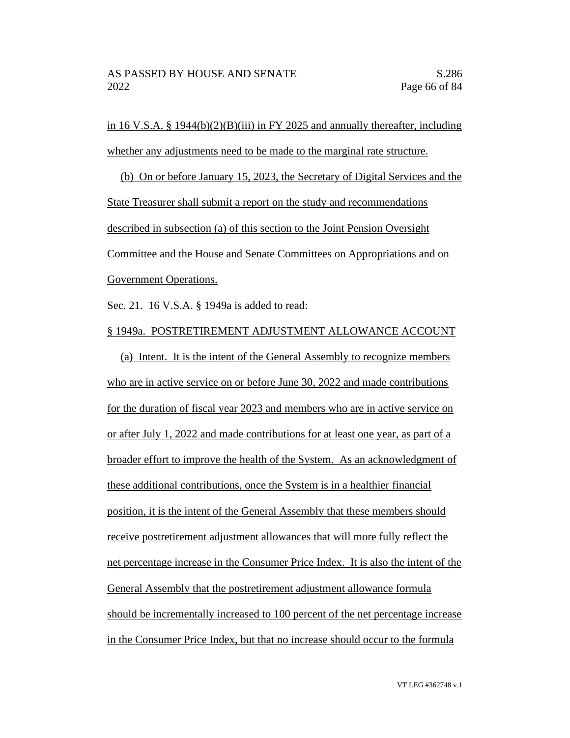in 16 V.S.A. § 1944 $(b)(2)(B)(iii)$  in FY 2025 and annually thereafter, including whether any adjustments need to be made to the marginal rate structure.

(b) On or before January 15, 2023, the Secretary of Digital Services and the State Treasurer shall submit a report on the study and recommendations described in subsection (a) of this section to the Joint Pension Oversight Committee and the House and Senate Committees on Appropriations and on Government Operations.

Sec. 21. 16 V.S.A. § 1949a is added to read:

#### § 1949a. POSTRETIREMENT ADJUSTMENT ALLOWANCE ACCOUNT

(a) Intent. It is the intent of the General Assembly to recognize members who are in active service on or before June 30, 2022 and made contributions for the duration of fiscal year 2023 and members who are in active service on or after July 1, 2022 and made contributions for at least one year, as part of a broader effort to improve the health of the System. As an acknowledgment of these additional contributions, once the System is in a healthier financial position, it is the intent of the General Assembly that these members should receive postretirement adjustment allowances that will more fully reflect the net percentage increase in the Consumer Price Index. It is also the intent of the General Assembly that the postretirement adjustment allowance formula should be incrementally increased to 100 percent of the net percentage increase in the Consumer Price Index, but that no increase should occur to the formula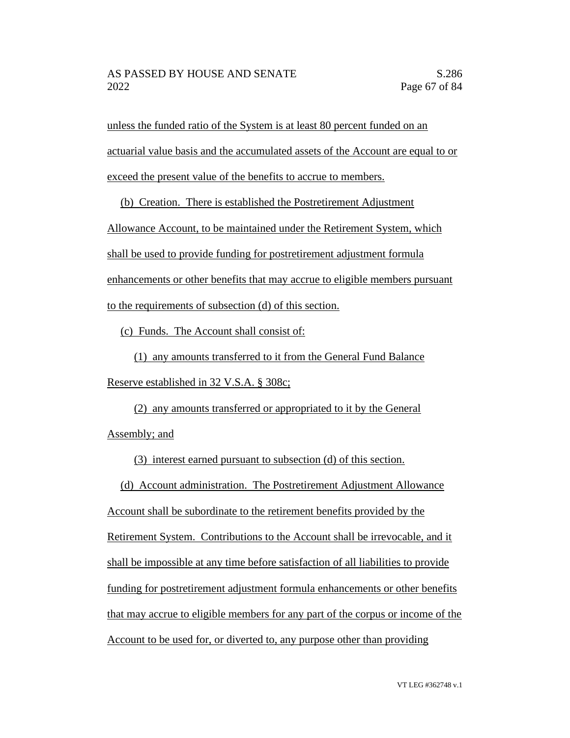unless the funded ratio of the System is at least 80 percent funded on an actuarial value basis and the accumulated assets of the Account are equal to or exceed the present value of the benefits to accrue to members.

(b) Creation. There is established the Postretirement Adjustment

Allowance Account, to be maintained under the Retirement System, which

shall be used to provide funding for postretirement adjustment formula

enhancements or other benefits that may accrue to eligible members pursuant

to the requirements of subsection (d) of this section.

(c) Funds. The Account shall consist of:

(1) any amounts transferred to it from the General Fund Balance Reserve established in 32 V.S.A. § 308c;

(2) any amounts transferred or appropriated to it by the General Assembly; and

(3) interest earned pursuant to subsection (d) of this section.

(d) Account administration. The Postretirement Adjustment Allowance

Account shall be subordinate to the retirement benefits provided by the Retirement System. Contributions to the Account shall be irrevocable, and it shall be impossible at any time before satisfaction of all liabilities to provide funding for postretirement adjustment formula enhancements or other benefits that may accrue to eligible members for any part of the corpus or income of the Account to be used for, or diverted to, any purpose other than providing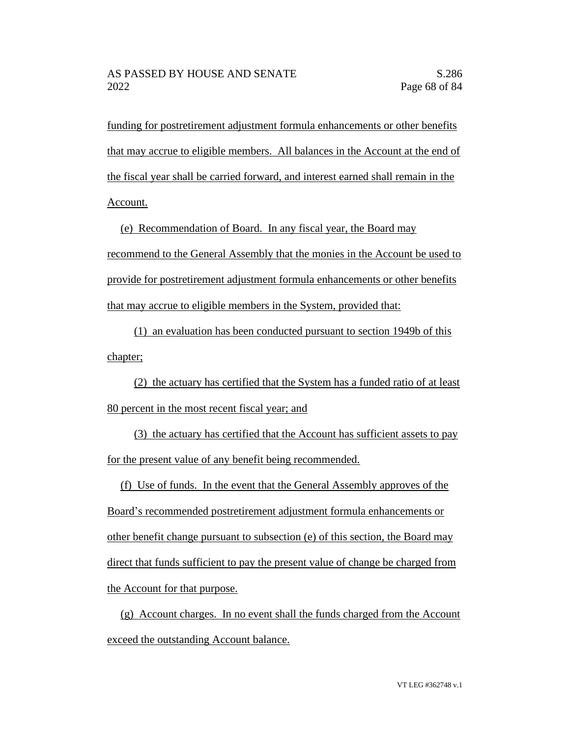funding for postretirement adjustment formula enhancements or other benefits that may accrue to eligible members. All balances in the Account at the end of the fiscal year shall be carried forward, and interest earned shall remain in the Account.

(e) Recommendation of Board. In any fiscal year, the Board may recommend to the General Assembly that the monies in the Account be used to provide for postretirement adjustment formula enhancements or other benefits that may accrue to eligible members in the System, provided that:

(1) an evaluation has been conducted pursuant to section 1949b of this chapter;

(2) the actuary has certified that the System has a funded ratio of at least 80 percent in the most recent fiscal year; and

(3) the actuary has certified that the Account has sufficient assets to pay for the present value of any benefit being recommended.

(f) Use of funds. In the event that the General Assembly approves of the Board's recommended postretirement adjustment formula enhancements or other benefit change pursuant to subsection (e) of this section, the Board may direct that funds sufficient to pay the present value of change be charged from the Account for that purpose.

(g) Account charges. In no event shall the funds charged from the Account exceed the outstanding Account balance.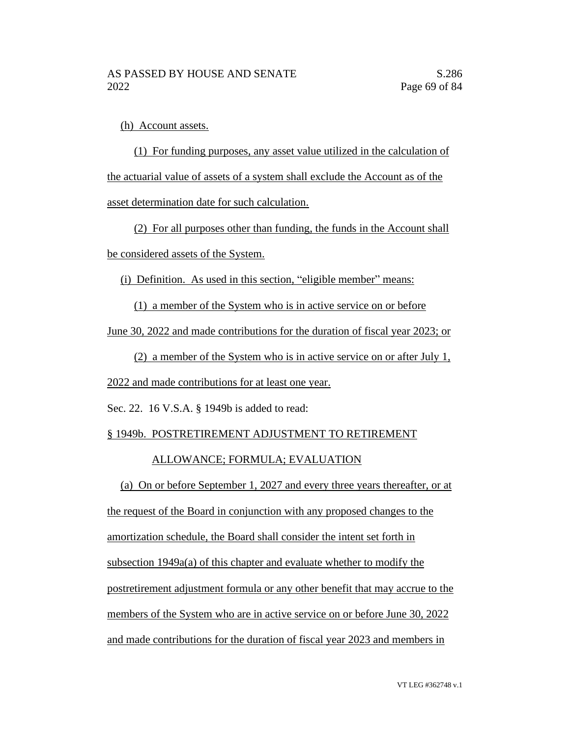(h) Account assets.

(1) For funding purposes, any asset value utilized in the calculation of the actuarial value of assets of a system shall exclude the Account as of the asset determination date for such calculation.

(2) For all purposes other than funding, the funds in the Account shall be considered assets of the System.

(i) Definition. As used in this section, "eligible member" means:

(1) a member of the System who is in active service on or before

June 30, 2022 and made contributions for the duration of fiscal year 2023; or

(2) a member of the System who is in active service on or after July 1,

2022 and made contributions for at least one year.

Sec. 22. 16 V.S.A. § 1949b is added to read:

#### § 1949b. POSTRETIREMENT ADJUSTMENT TO RETIREMENT

#### ALLOWANCE; FORMULA; EVALUATION

(a) On or before September 1, 2027 and every three years thereafter, or at the request of the Board in conjunction with any proposed changes to the

amortization schedule, the Board shall consider the intent set forth in

subsection 1949a(a) of this chapter and evaluate whether to modify the postretirement adjustment formula or any other benefit that may accrue to the

members of the System who are in active service on or before June 30, 2022

and made contributions for the duration of fiscal year 2023 and members in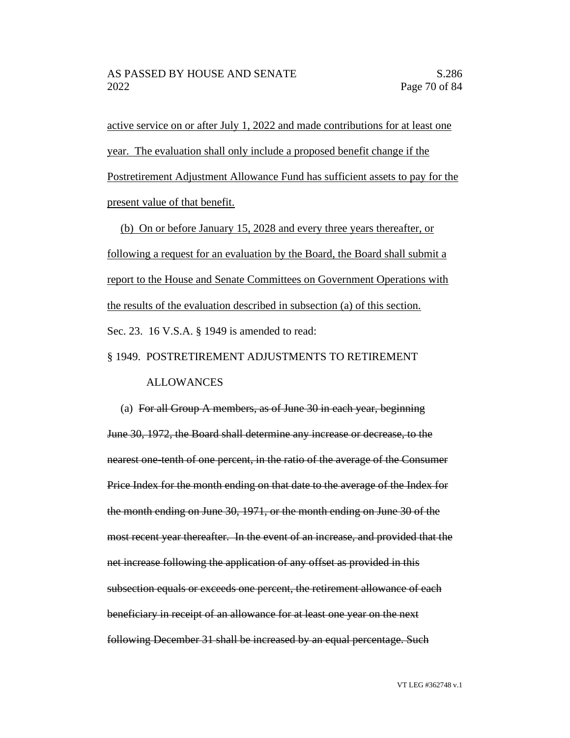active service on or after July 1, 2022 and made contributions for at least one year. The evaluation shall only include a proposed benefit change if the Postretirement Adjustment Allowance Fund has sufficient assets to pay for the present value of that benefit.

(b) On or before January 15, 2028 and every three years thereafter, or following a request for an evaluation by the Board, the Board shall submit a report to the House and Senate Committees on Government Operations with the results of the evaluation described in subsection (a) of this section. Sec. 23. 16 V.S.A. § 1949 is amended to read:

#### § 1949. POSTRETIREMENT ADJUSTMENTS TO RETIREMENT

#### ALLOWANCES

(a) For all Group A members, as of June 30 in each year, beginning June 30, 1972, the Board shall determine any increase or decrease, to the nearest one-tenth of one percent, in the ratio of the average of the Consumer Price Index for the month ending on that date to the average of the Index for the month ending on June 30, 1971, or the month ending on June 30 of the most recent year thereafter. In the event of an increase, and provided that the net increase following the application of any offset as provided in this subsection equals or exceeds one percent, the retirement allowance of each beneficiary in receipt of an allowance for at least one year on the next following December 31 shall be increased by an equal percentage. Such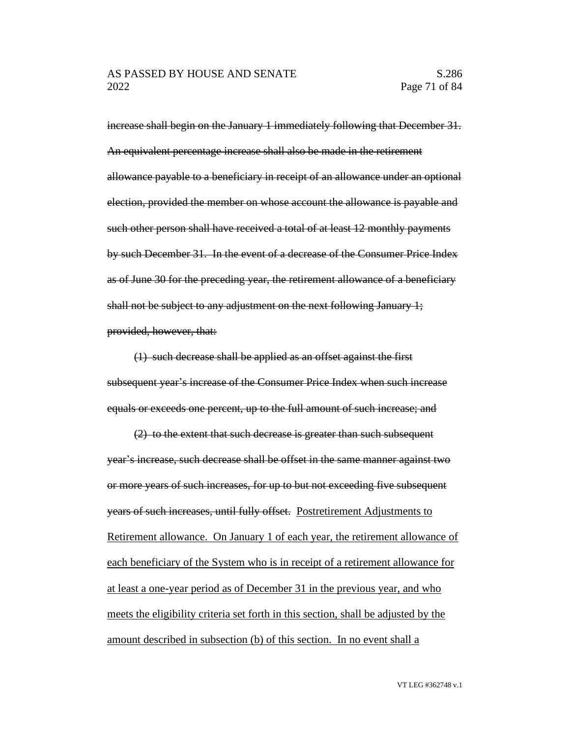increase shall begin on the January 1 immediately following that December 31. An equivalent percentage increase shall also be made in the retirement allowance payable to a beneficiary in receipt of an allowance under an optional election, provided the member on whose account the allowance is payable and such other person shall have received a total of at least 12 monthly payments by such December 31. In the event of a decrease of the Consumer Price Index as of June 30 for the preceding year, the retirement allowance of a beneficiary shall not be subject to any adjustment on the next following January 1; provided, however, that:

(1) such decrease shall be applied as an offset against the first subsequent year's increase of the Consumer Price Index when such increase equals or exceeds one percent, up to the full amount of such increase; and

(2) to the extent that such decrease is greater than such subsequent year's increase, such decrease shall be offset in the same manner against two or more years of such increases, for up to but not exceeding five subsequent years of such increases, until fully offset. Postretirement Adjustments to Retirement allowance. On January 1 of each year, the retirement allowance of each beneficiary of the System who is in receipt of a retirement allowance for at least a one-year period as of December 31 in the previous year, and who meets the eligibility criteria set forth in this section, shall be adjusted by the amount described in subsection (b) of this section. In no event shall a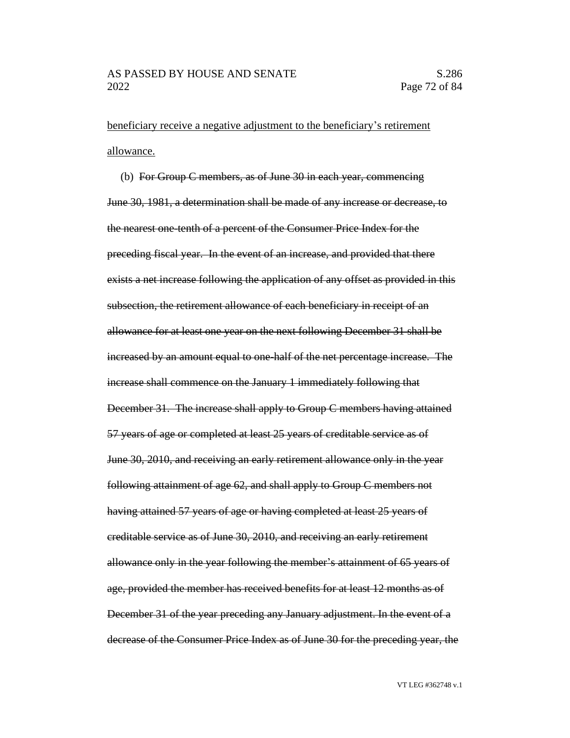beneficiary receive a negative adjustment to the beneficiary's retirement allowance.

(b) For Group C members, as of June 30 in each year, commencing June 30, 1981, a determination shall be made of any increase or decrease, to the nearest one-tenth of a percent of the Consumer Price Index for the preceding fiscal year. In the event of an increase, and provided that there exists a net increase following the application of any offset as provided in this subsection, the retirement allowance of each beneficiary in receipt of an allowance for at least one year on the next following December 31 shall be increased by an amount equal to one-half of the net percentage increase. The increase shall commence on the January 1 immediately following that December 31. The increase shall apply to Group C members having attained 57 years of age or completed at least 25 years of creditable service as of June 30, 2010, and receiving an early retirement allowance only in the year following attainment of age 62, and shall apply to Group C members not having attained 57 years of age or having completed at least 25 years of creditable service as of June 30, 2010, and receiving an early retirement allowance only in the year following the member's attainment of 65 years of age, provided the member has received benefits for at least 12 months as of December 31 of the year preceding any January adjustment. In the event of a decrease of the Consumer Price Index as of June 30 for the preceding year, the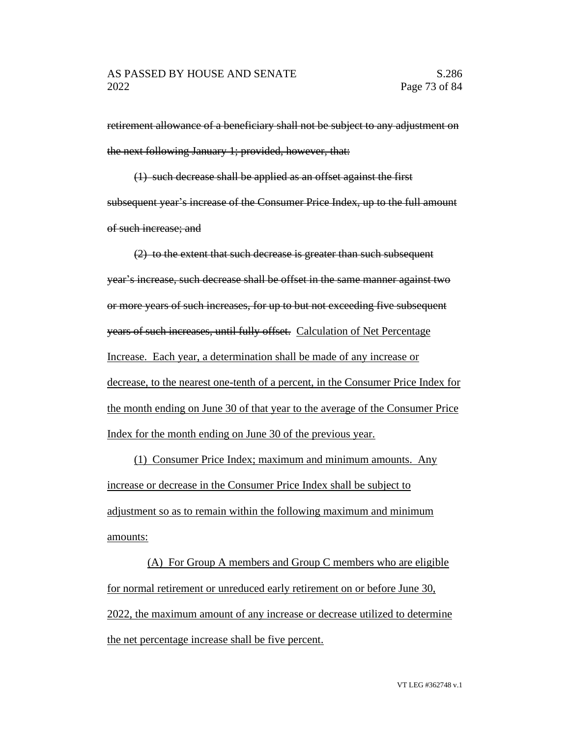retirement allowance of a beneficiary shall not be subject to any adjustment on the next following January 1; provided, however, that:

(1) such decrease shall be applied as an offset against the first subsequent year's increase of the Consumer Price Index, up to the full amount of such increase; and

(2) to the extent that such decrease is greater than such subsequent year's increase, such decrease shall be offset in the same manner against two or more years of such increases, for up to but not exceeding five subsequent years of such increases, until fully offset. Calculation of Net Percentage Increase. Each year, a determination shall be made of any increase or decrease, to the nearest one-tenth of a percent, in the Consumer Price Index for the month ending on June 30 of that year to the average of the Consumer Price Index for the month ending on June 30 of the previous year.

(1) Consumer Price Index; maximum and minimum amounts. Any increase or decrease in the Consumer Price Index shall be subject to adjustment so as to remain within the following maximum and minimum amounts:

(A) For Group A members and Group C members who are eligible for normal retirement or unreduced early retirement on or before June 30, 2022, the maximum amount of any increase or decrease utilized to determine the net percentage increase shall be five percent.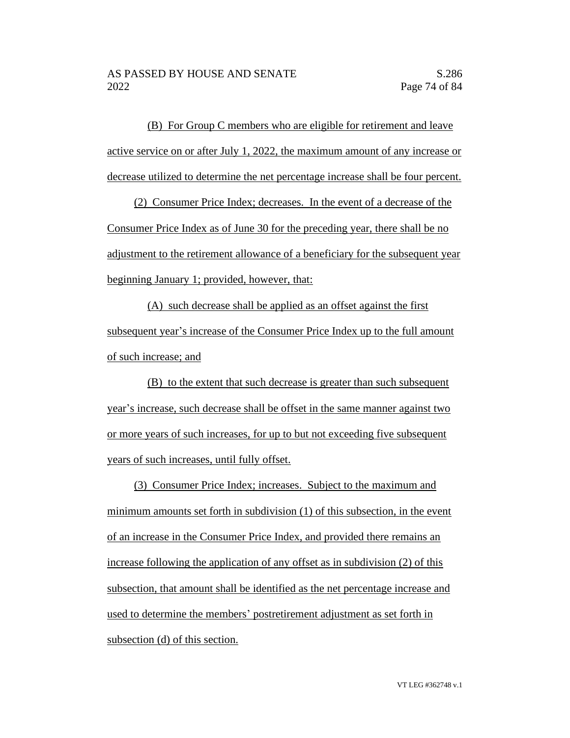(B) For Group C members who are eligible for retirement and leave active service on or after July 1, 2022, the maximum amount of any increase or decrease utilized to determine the net percentage increase shall be four percent.

(2) Consumer Price Index; decreases. In the event of a decrease of the Consumer Price Index as of June 30 for the preceding year, there shall be no adjustment to the retirement allowance of a beneficiary for the subsequent year beginning January 1; provided, however, that:

(A) such decrease shall be applied as an offset against the first subsequent year's increase of the Consumer Price Index up to the full amount of such increase; and

(B) to the extent that such decrease is greater than such subsequent year's increase, such decrease shall be offset in the same manner against two or more years of such increases, for up to but not exceeding five subsequent years of such increases, until fully offset.

(3) Consumer Price Index; increases. Subject to the maximum and minimum amounts set forth in subdivision (1) of this subsection, in the event of an increase in the Consumer Price Index, and provided there remains an increase following the application of any offset as in subdivision (2) of this subsection, that amount shall be identified as the net percentage increase and used to determine the members' postretirement adjustment as set forth in subsection (d) of this section.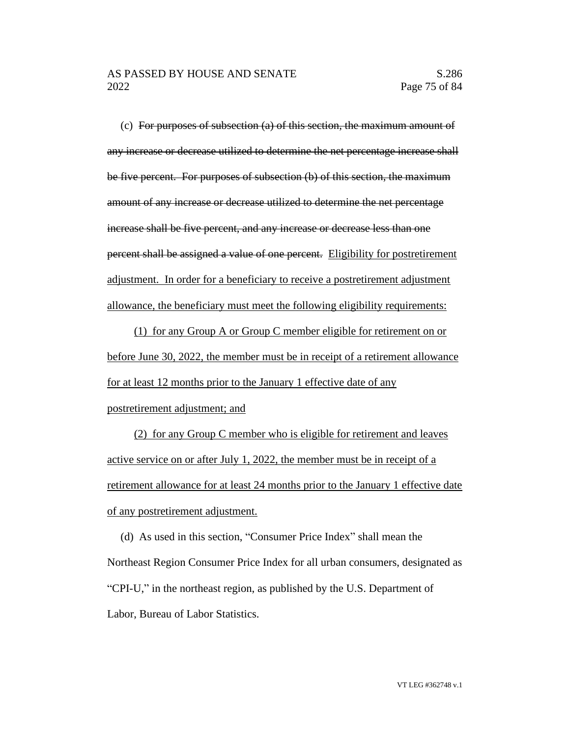(c) For purposes of subsection  $(a)$  of this section, the maximum amount of any increase or decrease utilized to determine the net percentage increase shall be five percent. For purposes of subsection (b) of this section, the maximum amount of any increase or decrease utilized to determine the net percentage increase shall be five percent, and any increase or decrease less than one percent shall be assigned a value of one percent. Eligibility for postretirement adjustment. In order for a beneficiary to receive a postretirement adjustment allowance, the beneficiary must meet the following eligibility requirements:

(1) for any Group A or Group C member eligible for retirement on or before June 30, 2022, the member must be in receipt of a retirement allowance for at least 12 months prior to the January 1 effective date of any postretirement adjustment; and

(2) for any Group C member who is eligible for retirement and leaves active service on or after July 1, 2022, the member must be in receipt of a retirement allowance for at least 24 months prior to the January 1 effective date of any postretirement adjustment.

(d) As used in this section, "Consumer Price Index" shall mean the Northeast Region Consumer Price Index for all urban consumers, designated as "CPI-U," in the northeast region, as published by the U.S. Department of Labor, Bureau of Labor Statistics.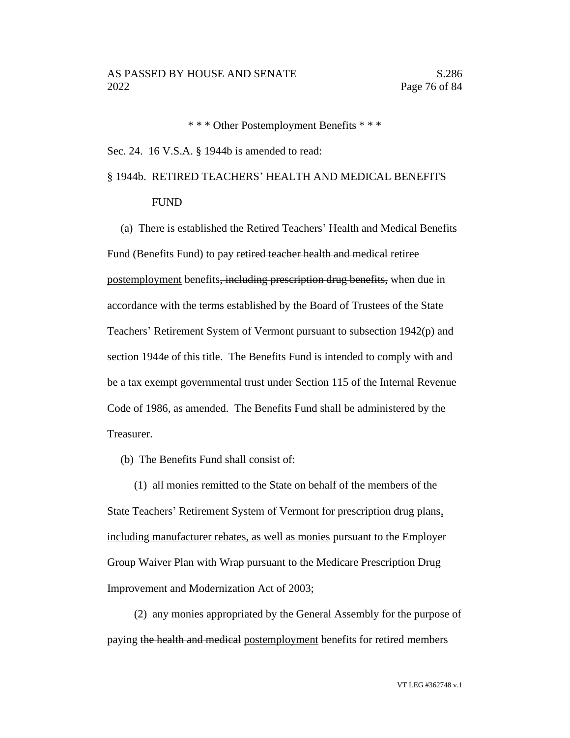\* \* \* Other Postemployment Benefits \* \* \*

Sec. 24. 16 V.S.A. § 1944b is amended to read:

# § 1944b. RETIRED TEACHERS' HEALTH AND MEDICAL BENEFITS FUND

(a) There is established the Retired Teachers' Health and Medical Benefits Fund (Benefits Fund) to pay retired teacher health and medical retiree postemployment benefits, including prescription drug benefits, when due in accordance with the terms established by the Board of Trustees of the State Teachers' Retirement System of Vermont pursuant to subsection 1942(p) and section 1944e of this title. The Benefits Fund is intended to comply with and be a tax exempt governmental trust under Section 115 of the Internal Revenue Code of 1986, as amended. The Benefits Fund shall be administered by the Treasurer.

(b) The Benefits Fund shall consist of:

(1) all monies remitted to the State on behalf of the members of the State Teachers' Retirement System of Vermont for prescription drug plans, including manufacturer rebates, as well as monies pursuant to the Employer Group Waiver Plan with Wrap pursuant to the Medicare Prescription Drug Improvement and Modernization Act of 2003;

(2) any monies appropriated by the General Assembly for the purpose of paying the health and medical postemployment benefits for retired members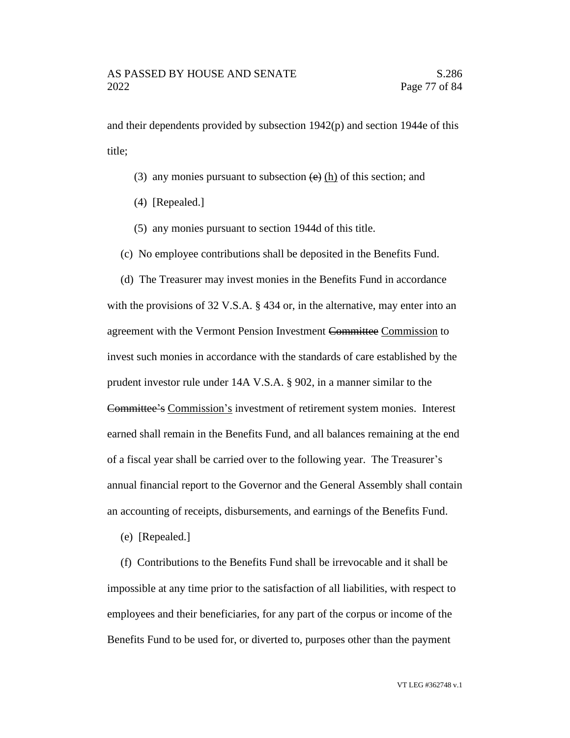and their dependents provided by subsection  $1942(p)$  and section 1944e of this title;

- (3) any monies pursuant to subsection  $\left(\mathbf{e}\right)$  (h) of this section; and
- (4) [Repealed.]
- (5) any monies pursuant to section 1944d of this title.

(c) No employee contributions shall be deposited in the Benefits Fund.

(d) The Treasurer may invest monies in the Benefits Fund in accordance with the provisions of 32 V.S.A. § 434 or, in the alternative, may enter into an agreement with the Vermont Pension Investment Committee Commission to invest such monies in accordance with the standards of care established by the prudent investor rule under 14A V.S.A. § 902, in a manner similar to the Committee's Commission's investment of retirement system monies. Interest earned shall remain in the Benefits Fund, and all balances remaining at the end of a fiscal year shall be carried over to the following year. The Treasurer's annual financial report to the Governor and the General Assembly shall contain an accounting of receipts, disbursements, and earnings of the Benefits Fund.

(e) [Repealed.]

(f) Contributions to the Benefits Fund shall be irrevocable and it shall be impossible at any time prior to the satisfaction of all liabilities, with respect to employees and their beneficiaries, for any part of the corpus or income of the Benefits Fund to be used for, or diverted to, purposes other than the payment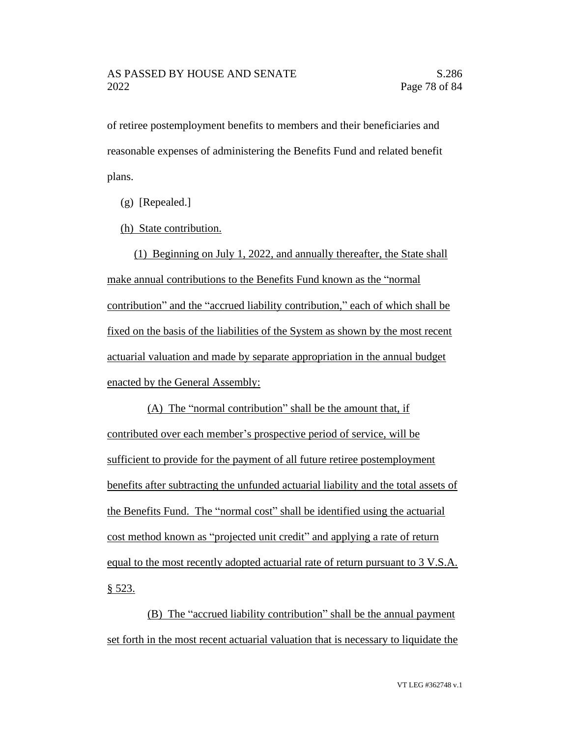of retiree postemployment benefits to members and their beneficiaries and reasonable expenses of administering the Benefits Fund and related benefit plans.

(g) [Repealed.]

(h) State contribution.

(1) Beginning on July 1, 2022, and annually thereafter, the State shall make annual contributions to the Benefits Fund known as the "normal contribution" and the "accrued liability contribution," each of which shall be fixed on the basis of the liabilities of the System as shown by the most recent actuarial valuation and made by separate appropriation in the annual budget enacted by the General Assembly:

(A) The "normal contribution" shall be the amount that, if contributed over each member's prospective period of service, will be sufficient to provide for the payment of all future retiree postemployment benefits after subtracting the unfunded actuarial liability and the total assets of the Benefits Fund. The "normal cost" shall be identified using the actuarial cost method known as "projected unit credit" and applying a rate of return equal to the most recently adopted actuarial rate of return pursuant to 3 V.S.A. § 523.

(B) The "accrued liability contribution" shall be the annual payment set forth in the most recent actuarial valuation that is necessary to liquidate the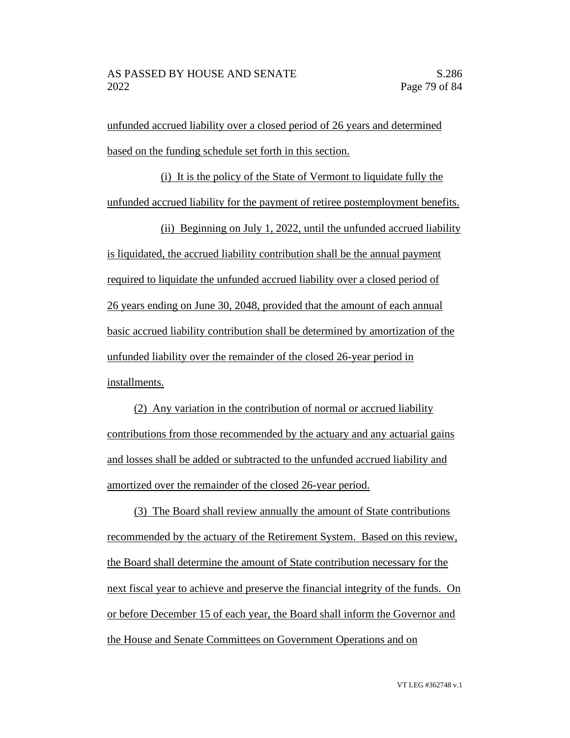unfunded accrued liability over a closed period of 26 years and determined based on the funding schedule set forth in this section.

(i) It is the policy of the State of Vermont to liquidate fully the unfunded accrued liability for the payment of retiree postemployment benefits.

(ii) Beginning on July 1, 2022, until the unfunded accrued liability is liquidated, the accrued liability contribution shall be the annual payment required to liquidate the unfunded accrued liability over a closed period of 26 years ending on June 30, 2048, provided that the amount of each annual basic accrued liability contribution shall be determined by amortization of the unfunded liability over the remainder of the closed 26-year period in installments.

(2) Any variation in the contribution of normal or accrued liability contributions from those recommended by the actuary and any actuarial gains and losses shall be added or subtracted to the unfunded accrued liability and amortized over the remainder of the closed 26-year period.

(3) The Board shall review annually the amount of State contributions recommended by the actuary of the Retirement System. Based on this review, the Board shall determine the amount of State contribution necessary for the next fiscal year to achieve and preserve the financial integrity of the funds. On or before December 15 of each year, the Board shall inform the Governor and the House and Senate Committees on Government Operations and on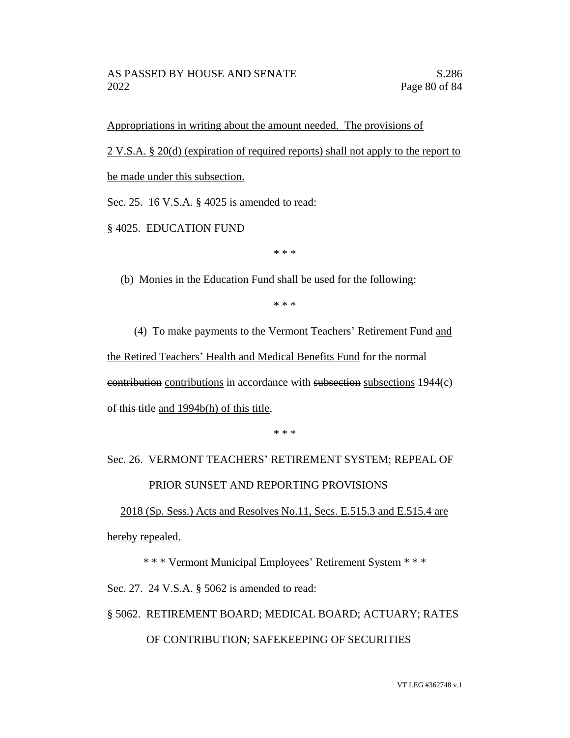Appropriations in writing about the amount needed. The provisions of

2 V.S.A. § 20(d) (expiration of required reports) shall not apply to the report to

be made under this subsection.

Sec. 25. 16 V.S.A. § 4025 is amended to read:

§ 4025. EDUCATION FUND

\* \* \*

(b) Monies in the Education Fund shall be used for the following:

\* \* \*

(4) To make payments to the Vermont Teachers' Retirement Fund and the Retired Teachers' Health and Medical Benefits Fund for the normal contribution contributions in accordance with subsection subsections 1944(c) of this title and 1994b(h) of this title.

\* \* \*

# Sec. 26. VERMONT TEACHERS' RETIREMENT SYSTEM; REPEAL OF PRIOR SUNSET AND REPORTING PROVISIONS

2018 (Sp. Sess.) Acts and Resolves No.11, Secs. E.515.3 and E.515.4 are hereby repealed.

\* \* \* Vermont Municipal Employees' Retirement System \* \* \*

Sec. 27. 24 V.S.A. § 5062 is amended to read:

§ 5062. RETIREMENT BOARD; MEDICAL BOARD; ACTUARY; RATES

#### OF CONTRIBUTION; SAFEKEEPING OF SECURITIES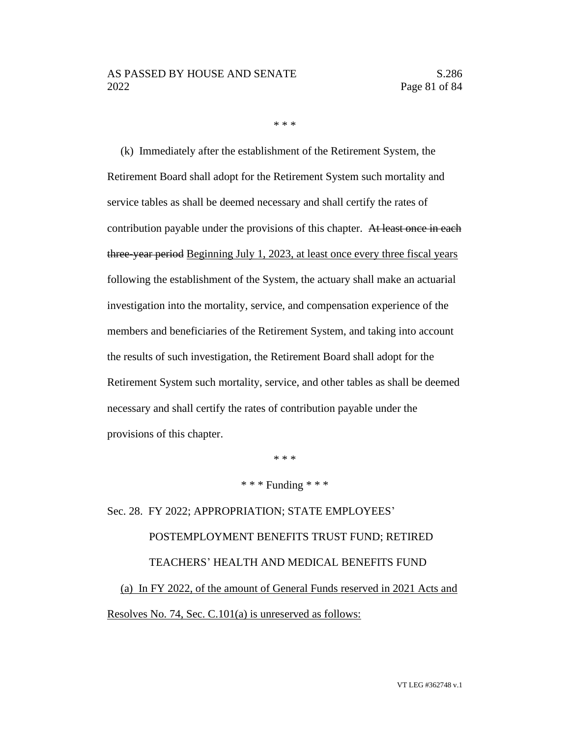\* \* \*

(k) Immediately after the establishment of the Retirement System, the Retirement Board shall adopt for the Retirement System such mortality and service tables as shall be deemed necessary and shall certify the rates of contribution payable under the provisions of this chapter. At least once in each three-year period Beginning July 1, 2023, at least once every three fiscal years following the establishment of the System, the actuary shall make an actuarial investigation into the mortality, service, and compensation experience of the members and beneficiaries of the Retirement System, and taking into account the results of such investigation, the Retirement Board shall adopt for the Retirement System such mortality, service, and other tables as shall be deemed necessary and shall certify the rates of contribution payable under the provisions of this chapter.

\* \* \*

\* \* \* Funding \* \* \*

Sec. 28. FY 2022; APPROPRIATION; STATE EMPLOYEES' POSTEMPLOYMENT BENEFITS TRUST FUND; RETIRED TEACHERS' HEALTH AND MEDICAL BENEFITS FUND (a) In FY 2022, of the amount of General Funds reserved in 2021 Acts and Resolves No. 74, Sec. C.101(a) is unreserved as follows: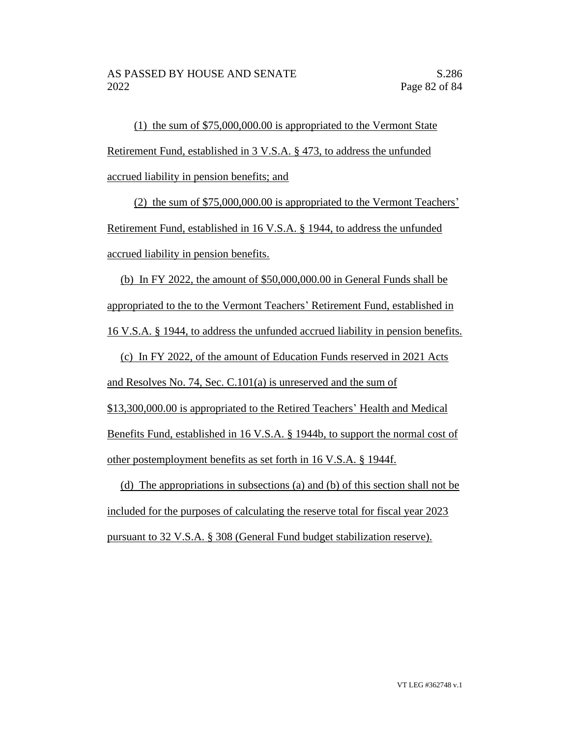(1) the sum of \$75,000,000.00 is appropriated to the Vermont State Retirement Fund, established in 3 V.S.A. § 473, to address the unfunded accrued liability in pension benefits; and

(2) the sum of \$75,000,000.00 is appropriated to the Vermont Teachers' Retirement Fund, established in 16 V.S.A. § 1944, to address the unfunded accrued liability in pension benefits.

(b) In FY 2022, the amount of \$50,000,000.00 in General Funds shall be appropriated to the to the Vermont Teachers' Retirement Fund, established in 16 V.S.A. § 1944, to address the unfunded accrued liability in pension benefits.

(c) In FY 2022, of the amount of Education Funds reserved in 2021 Acts and Resolves No. 74, Sec. C.101(a) is unreserved and the sum of \$13,300,000.00 is appropriated to the Retired Teachers' Health and Medical Benefits Fund, established in 16 V.S.A. § 1944b, to support the normal cost of other postemployment benefits as set forth in 16 V.S.A. § 1944f.

(d) The appropriations in subsections (a) and (b) of this section shall not be included for the purposes of calculating the reserve total for fiscal year 2023 pursuant to 32 V.S.A. § 308 (General Fund budget stabilization reserve).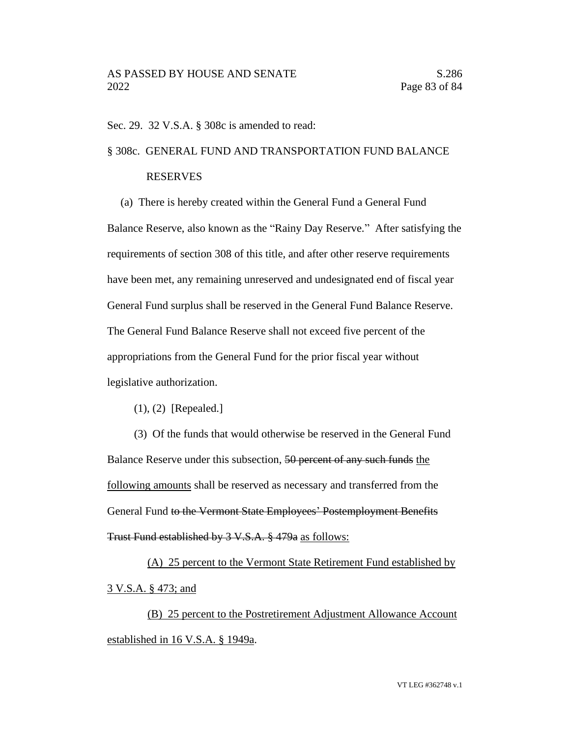Sec. 29. 32 V.S.A. § 308c is amended to read:

#### § 308c. GENERAL FUND AND TRANSPORTATION FUND BALANCE

#### RESERVES

(a) There is hereby created within the General Fund a General Fund Balance Reserve, also known as the "Rainy Day Reserve." After satisfying the requirements of section 308 of this title, and after other reserve requirements have been met, any remaining unreserved and undesignated end of fiscal year General Fund surplus shall be reserved in the General Fund Balance Reserve. The General Fund Balance Reserve shall not exceed five percent of the appropriations from the General Fund for the prior fiscal year without legislative authorization.

(1), (2) [Repealed.]

(3) Of the funds that would otherwise be reserved in the General Fund Balance Reserve under this subsection, 50 percent of any such funds the following amounts shall be reserved as necessary and transferred from the General Fund to the Vermont State Employees' Postemployment Benefits Trust Fund established by 3 V.S.A. § 479a as follows:

(A) 25 percent to the Vermont State Retirement Fund established by 3 V.S.A. § 473; and

(B) 25 percent to the Postretirement Adjustment Allowance Account established in 16 V.S.A. § 1949a.